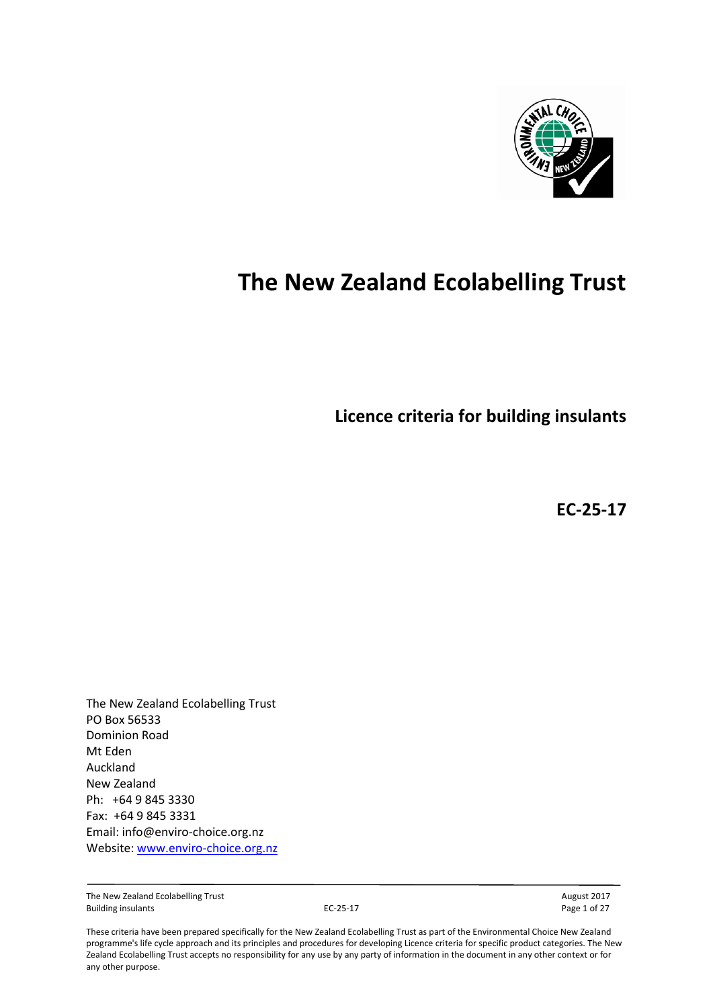

# **The New Zealand Ecolabelling Trust**

**Licence criteria for building insulants**

**EC-25-17**

The New Zealand Ecolabelling Trust PO Box 56533 Dominion Road Mt Eden Auckland New Zealand Ph: +64 9 845 3330 Fax: +64 9 845 3331 Email: info@enviro-choice.org.nz Website[: www.enviro-choice.org.nz](http://www.enviro-choice.org.nz/)

The New Zealand Ecolabelling Trust and the Community Control of the New Zealand Ecolabelling Trust August 2017<br>Building insulants August 2017 **August 2017 August 2017 August 2017 Page 1 of 27** Building insulants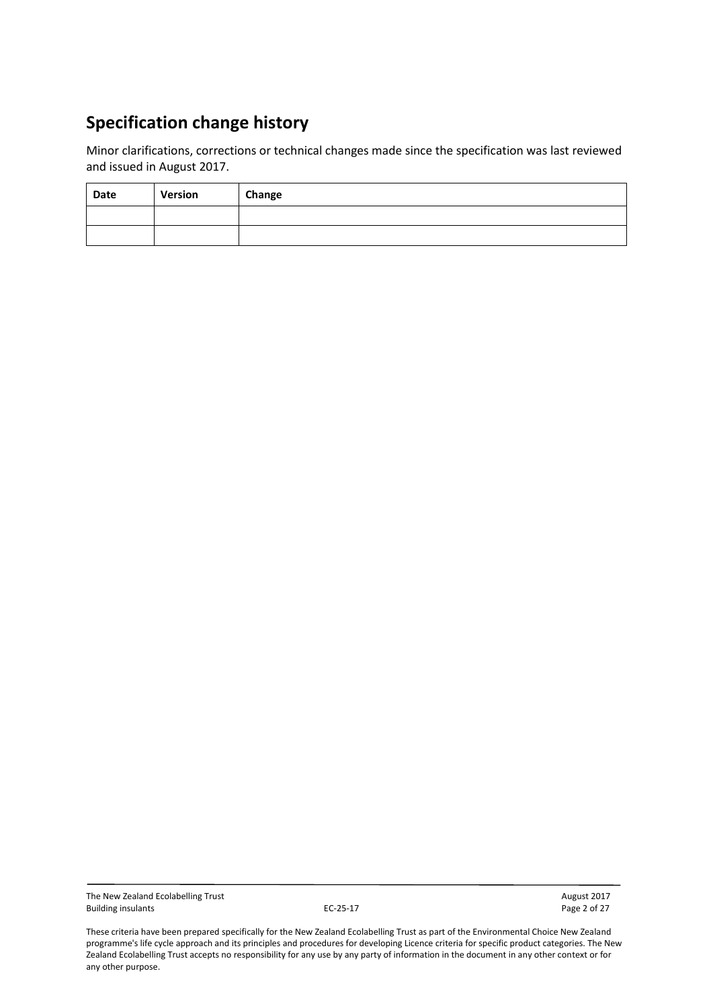## **Specification change history**

Minor clarifications, corrections or technical changes made since the specification was last reviewed and issued in August 2017.

| Date | Version | Change |
|------|---------|--------|
|      |         |        |
|      |         |        |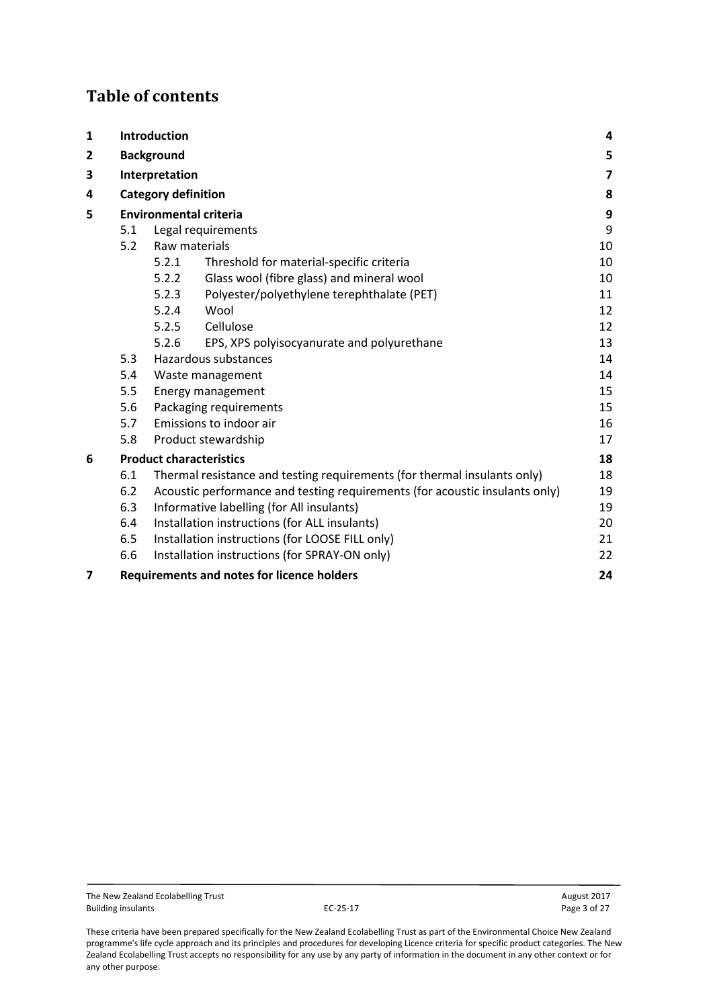## **Table of contents**

| $\mathbf{1}$                   | Introduction                                            |                                                                                   |                                            |    |  |  |  |  |  |  |
|--------------------------------|---------------------------------------------------------|-----------------------------------------------------------------------------------|--------------------------------------------|----|--|--|--|--|--|--|
| 2                              | <b>Background</b>                                       |                                                                                   |                                            |    |  |  |  |  |  |  |
| 3                              | Interpretation                                          |                                                                                   |                                            |    |  |  |  |  |  |  |
| 4                              | <b>Category definition</b>                              |                                                                                   |                                            |    |  |  |  |  |  |  |
| 5                              | <b>Environmental criteria</b>                           |                                                                                   |                                            |    |  |  |  |  |  |  |
|                                | Legal requirements<br>5.1                               |                                                                                   |                                            |    |  |  |  |  |  |  |
|                                | 5.2                                                     | Raw materials                                                                     |                                            |    |  |  |  |  |  |  |
|                                |                                                         | 5.2.1                                                                             | Threshold for material-specific criteria   | 10 |  |  |  |  |  |  |
|                                |                                                         | 5.2.2                                                                             | Glass wool (fibre glass) and mineral wool  | 10 |  |  |  |  |  |  |
|                                |                                                         | 5.2.3                                                                             | Polyester/polyethylene terephthalate (PET) | 11 |  |  |  |  |  |  |
|                                |                                                         | 5.2.4                                                                             | Wool                                       | 12 |  |  |  |  |  |  |
|                                |                                                         | 5.2.5                                                                             | Cellulose                                  | 12 |  |  |  |  |  |  |
|                                |                                                         | 5.2.6                                                                             | EPS, XPS polyisocyanurate and polyurethane | 13 |  |  |  |  |  |  |
|                                | 5.3                                                     |                                                                                   | Hazardous substances                       | 14 |  |  |  |  |  |  |
|                                | 5.4<br>Waste management                                 |                                                                                   |                                            |    |  |  |  |  |  |  |
|                                | 5.5<br>Energy management                                |                                                                                   |                                            |    |  |  |  |  |  |  |
|                                | 5.6<br>Packaging requirements                           |                                                                                   |                                            |    |  |  |  |  |  |  |
| Emissions to indoor air<br>5.7 |                                                         |                                                                                   |                                            |    |  |  |  |  |  |  |
|                                | 5.8<br>Product stewardship                              |                                                                                   |                                            |    |  |  |  |  |  |  |
| 6                              |                                                         |                                                                                   | <b>Product characteristics</b>             | 18 |  |  |  |  |  |  |
|                                | 6.1                                                     | Thermal resistance and testing requirements (for thermal insulants only)<br>18    |                                            |    |  |  |  |  |  |  |
|                                | 6.2                                                     | 19<br>Acoustic performance and testing requirements (for acoustic insulants only) |                                            |    |  |  |  |  |  |  |
|                                | 6.3                                                     | Informative labelling (for All insulants)                                         |                                            |    |  |  |  |  |  |  |
|                                | 6.4                                                     | Installation instructions (for ALL insulants)                                     |                                            |    |  |  |  |  |  |  |
|                                | 6.5                                                     | Installation instructions (for LOOSE FILL only)                                   |                                            |    |  |  |  |  |  |  |
|                                | 6.6                                                     | Installation instructions (for SPRAY-ON only)                                     |                                            |    |  |  |  |  |  |  |
| $\overline{\mathbf{z}}$        | <b>Requirements and notes for licence holders</b><br>24 |                                                                                   |                                            |    |  |  |  |  |  |  |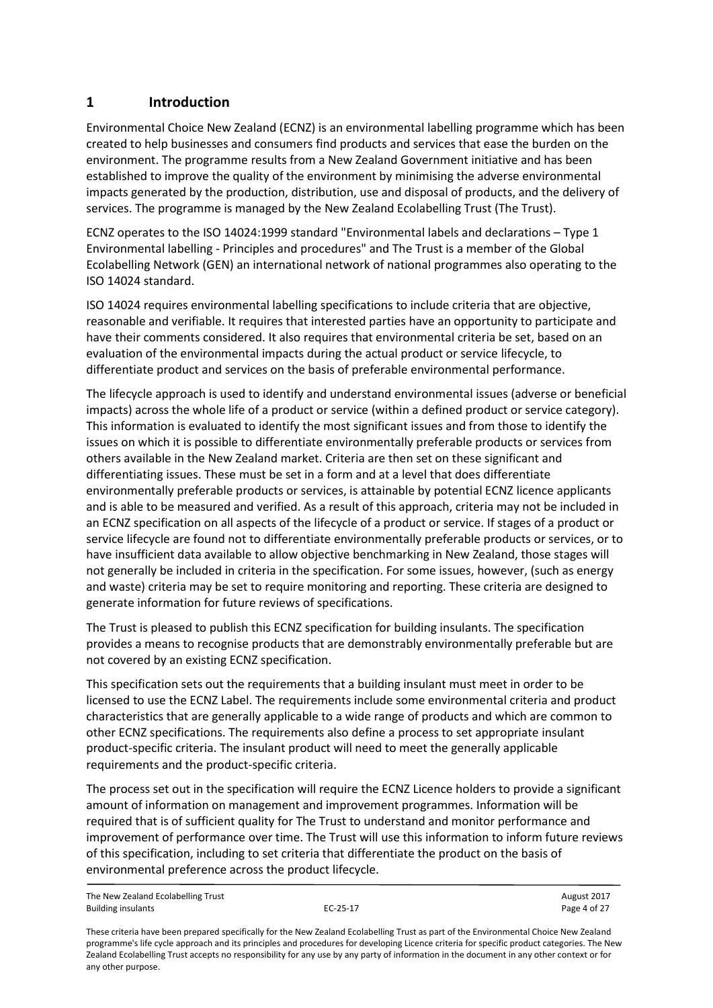## <span id="page-3-0"></span>**1 Introduction**

Environmental Choice New Zealand (ECNZ) is an environmental labelling programme which has been created to help businesses and consumers find products and services that ease the burden on the environment. The programme results from a New Zealand Government initiative and has been established to improve the quality of the environment by minimising the adverse environmental impacts generated by the production, distribution, use and disposal of products, and the delivery of services. The programme is managed by the New Zealand Ecolabelling Trust (The Trust).

ECNZ operates to the ISO 14024:1999 standard "Environmental labels and declarations – Type 1 Environmental labelling - Principles and procedures" and The Trust is a member of the Global Ecolabelling Network (GEN) an international network of national programmes also operating to the ISO 14024 standard.

ISO 14024 requires environmental labelling specifications to include criteria that are objective, reasonable and verifiable. It requires that interested parties have an opportunity to participate and have their comments considered. It also requires that environmental criteria be set, based on an evaluation of the environmental impacts during the actual product or service lifecycle, to differentiate product and services on the basis of preferable environmental performance.

The lifecycle approach is used to identify and understand environmental issues (adverse or beneficial impacts) across the whole life of a product or service (within a defined product or service category). This information is evaluated to identify the most significant issues and from those to identify the issues on which it is possible to differentiate environmentally preferable products or services from others available in the New Zealand market. Criteria are then set on these significant and differentiating issues. These must be set in a form and at a level that does differentiate environmentally preferable products or services, is attainable by potential ECNZ licence applicants and is able to be measured and verified. As a result of this approach, criteria may not be included in an ECNZ specification on all aspects of the lifecycle of a product or service. If stages of a product or service lifecycle are found not to differentiate environmentally preferable products or services, or to have insufficient data available to allow objective benchmarking in New Zealand, those stages will not generally be included in criteria in the specification. For some issues, however, (such as energy and waste) criteria may be set to require monitoring and reporting. These criteria are designed to generate information for future reviews of specifications.

The Trust is pleased to publish this ECNZ specification for building insulants. The specification provides a means to recognise products that are demonstrably environmentally preferable but are not covered by an existing ECNZ specification.

This specification sets out the requirements that a building insulant must meet in order to be licensed to use the ECNZ Label. The requirements include some environmental criteria and product characteristics that are generally applicable to a wide range of products and which are common to other ECNZ specifications. The requirements also define a process to set appropriate insulant product-specific criteria. The insulant product will need to meet the generally applicable requirements and the product-specific criteria.

The process set out in the specification will require the ECNZ Licence holders to provide a significant amount of information on management and improvement programmes. Information will be required that is of sufficient quality for The Trust to understand and monitor performance and improvement of performance over time. The Trust will use this information to inform future reviews of this specification, including to set criteria that differentiate the product on the basis of environmental preference across the product lifecycle.

The New Zealand Ecolabelling Trust August 2017 Building insulants **EC-25-17** Page 4 of 27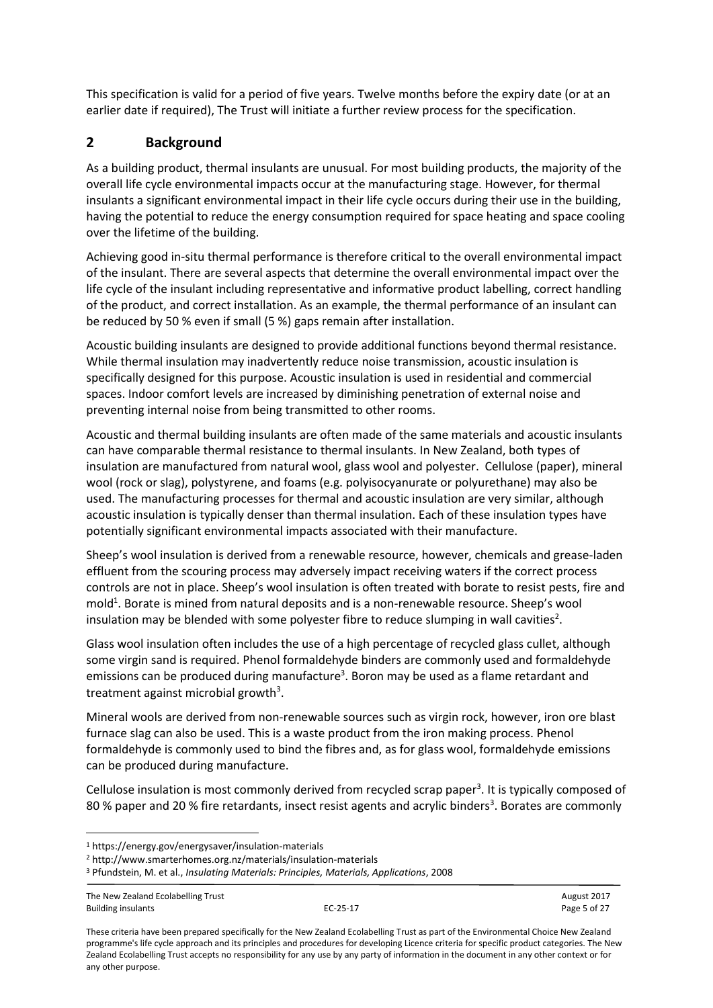This specification is valid for a period of five years. Twelve months before the expiry date (or at an earlier date if required), The Trust will initiate a further review process for the specification.

## <span id="page-4-0"></span>**2 Background**

As a building product, thermal insulants are unusual. For most building products, the majority of the overall life cycle environmental impacts occur at the manufacturing stage. However, for thermal insulants a significant environmental impact in their life cycle occurs during their use in the building, having the potential to reduce the energy consumption required for space heating and space cooling over the lifetime of the building.

Achieving good in-situ thermal performance is therefore critical to the overall environmental impact of the insulant. There are several aspects that determine the overall environmental impact over the life cycle of the insulant including representative and informative product labelling, correct handling of the product, and correct installation. As an example, the thermal performance of an insulant can be reduced by 50 % even if small (5 %) gaps remain after installation.

Acoustic building insulants are designed to provide additional functions beyond thermal resistance. While thermal insulation may inadvertently reduce noise transmission, acoustic insulation is specifically designed for this purpose. Acoustic insulation is used in residential and commercial spaces. Indoor comfort levels are increased by diminishing penetration of external noise and preventing internal noise from being transmitted to other rooms.

Acoustic and thermal building insulants are often made of the same materials and acoustic insulants can have comparable thermal resistance to thermal insulants. In New Zealand, both types of insulation are manufactured from natural wool, glass wool and polyester. Cellulose (paper), mineral wool (rock or slag), polystyrene, and foams (e.g. polyisocyanurate or polyurethane) may also be used. The manufacturing processes for thermal and acoustic insulation are very similar, although acoustic insulation is typically denser than thermal insulation. Each of these insulation types have potentially significant environmental impacts associated with their manufacture.

Sheep's wool insulation is derived from a renewable resource, however, chemicals and grease-laden effluent from the scouring process may adversely impact receiving waters if the correct process controls are not in place. Sheep's wool insulation is often treated with borate to resist pests, fire and mold<sup>1</sup>. Borate is mined from natural deposits and is a non-renewable resource. Sheep's wool insulation may be blended with some polyester fibre to reduce slumping in wall cavities<sup>2</sup>.

<span id="page-4-1"></span>Glass wool insulation often includes the use of a high percentage of recycled glass cullet, although some virgin sand is required. Phenol formaldehyde binders are commonly used and formaldehyde emissions can be produced during manufacture<sup>3</sup>. Boron may be used as a flame retardant and treatment against microbial growth<sup>3</sup>.

Mineral wools are derived from non-renewable sources such as virgin rock, however, iron ore blast furnace slag can also be used. This is a waste product from the iron making process. Phenol formaldehyde is commonly used to bind the fibres and, as for glass wool, formaldehyde emissions can be produced during manufacture.

Cellulose insulation is most commonly de[r](#page-4-1)ived from recycled scrap paper<sup>3</sup>. It is typically composed of 80 % paper and 20 % fire retardants, insect resist agents and acrylic binders<sup>3</sup>. Borates are commonly

The New Zealand Ecolabelling Trust August 2017 Building insulants **EC-25-17** Page 5 of 27

**.** 

<sup>1</sup> <https://energy.gov/energysaver/insulation-materials>

<sup>2</sup> http://www.smarterhomes.org.nz/materials/insulation-materials

<sup>3</sup> Pfundstein, M. et al., *Insulating Materials: Principles, Materials, Applications*, 2008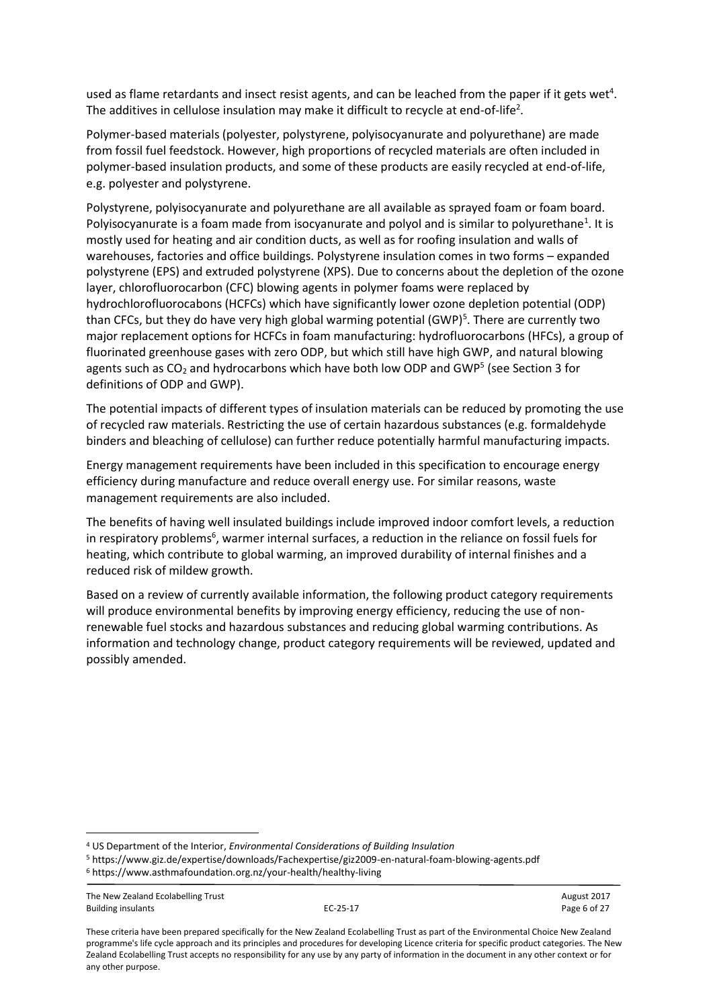used as flame retardants and insect resist agents, and can be leached from the paper if it gets wet<sup>4</sup>. The additives in cellulose insulation may make it difficult to recycle at end-of-life<sup>2</sup>.

Polymer-based materials (polyester, polystyrene, polyisocyanurate and polyurethane) are made from fossil fuel feedstock. However, high proportions of recycled materials are often included in polymer-based insulation products, and some of these products are easily recycled at end-of-life, e.g. polyester and polystyrene.

Polystyrene, polyisocyanurate and polyurethane are all available as sprayed foam or foam board. Polyisocyanurate is a foam made from isocyanurate and polyol and is similar to polyurethane<sup>1</sup>. It is mostly used for heating and air condition ducts, as well as for roofing insulation and walls of warehouses, factories and office buildings. Polystyrene insulation comes in two forms – expanded polystyrene (EPS) and extruded polystyrene (XPS). Due to concerns about the depletion of the ozone layer, chlorofluorocarbon (CFC) blowing agents in polymer foams were replaced by hydrochlorofluorocabons (HCFCs) which have significantly lower ozone depletion potential (ODP) than CFCs, but they do have very high global warming potential (GWP)<sup>5</sup>. There are currently two major replacement options for HCFCs in foam manufacturing: hydrofluorocarbons (HFCs), a group of fluorinated greenhouse gases with zero ODP, but which still have high GWP, and natural blowing agents such as  $CO<sub>2</sub>$  and hydrocarbons which have both low ODP and GWP<sup>5</sup> (see Section 3 for definitions of ODP and GWP).

The potential impacts of different types of insulation materials can be reduced by promoting the use of recycled raw materials. Restricting the use of certain hazardous substances (e.g. formaldehyde binders and bleaching of cellulose) can further reduce potentially harmful manufacturing impacts.

Energy management requirements have been included in this specification to encourage energy efficiency during manufacture and reduce overall energy use. For similar reasons, waste management requirements are also included.

The benefits of having well insulated buildings include improved indoor comfort levels, a reduction in respiratory problems<sup>6</sup>, warmer internal surfaces, a reduction in the reliance on fossil fuels for heating, which contribute to global warming, an improved durability of internal finishes and a reduced risk of mildew growth.

Based on a review of currently available information, the following product category requirements will produce environmental benefits by improving energy efficiency, reducing the use of nonrenewable fuel stocks and hazardous substances and reducing global warming contributions. As information and technology change, product category requirements will be reviewed, updated and possibly amended.

<sup>4</sup> US Department of the Interior, *Environmental Considerations of Building Insulation*

<sup>5</sup> https://www.giz.de/expertise/downloads/Fachexpertise/giz2009-en-natural-foam-blowing-agents.pdf

<sup>6</sup> https://www.asthmafoundation.org.nz/your-health/healthy-living

The New Zealand Ecolabelling Trust August 2017 Building insulants **EC-25-17** Page 6 of 27

**.**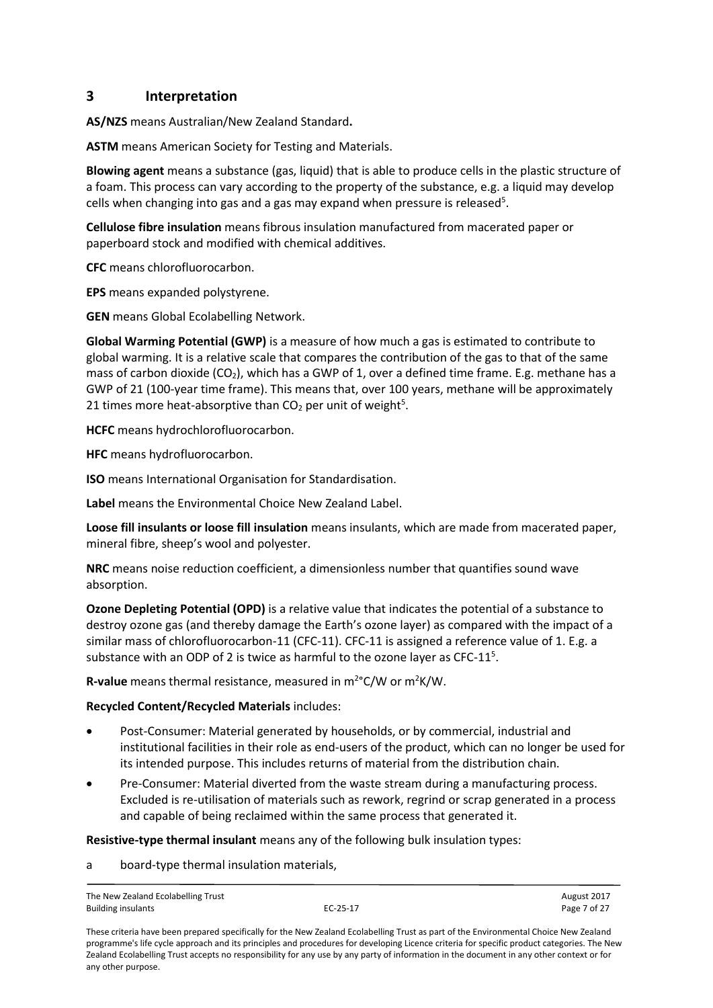## <span id="page-6-0"></span>**3 Interpretation**

**AS/NZS** means Australian/New Zealand Standard**.** 

**ASTM** means American Society for Testing and Materials.

**Blowing agent** means a substance (gas, liquid) that is able to produce cells in the plastic structure of a foam. This process can vary according to the property of the substance, e.g. a liquid may develop cells when changing into gas and a gas may expand when pressure is released<sup>5</sup>.

**Cellulose fibre insulation** means fibrous insulation manufactured from macerated paper or paperboard stock and modified with chemical additives.

**CFC** means chlorofluorocarbon.

**EPS** means expanded polystyrene.

**GEN** means Global Ecolabelling Network.

**Global Warming Potential (GWP)** is a measure of how much a gas is estimated to contribute to global warming. It is a relative scale that compares the contribution of the gas to that of the same mass of carbon dioxide (CO<sub>2</sub>), which has a GWP of 1, over a defined time frame. E.g. methane has a GWP of 21 (100-year time frame). This means that, over 100 years, methane will be approximately 21 times more heat-absorptive than  $CO<sub>2</sub>$  per unit of weight<sup>5</sup>.

**HCFC** means hydrochlorofluorocarbon.

**HFC** means hydrofluorocarbon.

**ISO** means International Organisation for Standardisation.

**Label** means the Environmental Choice New Zealand Label.

**Loose fill insulants or loose fill insulation** means insulants, which are made from macerated paper, mineral fibre, sheep's wool and polyester.

**NRC** means noise reduction coefficient, a dimensionless number that quantifies sound wave absorption.

**Ozone Depleting Potential (OPD)** is a relative value that indicates the potential of a substance to destroy ozone gas (and thereby damage the Earth's ozone layer) as compared with the impact of a similar mass of chlorofluorocarbon-11 (CFC-11). CFC-11 is assigned a reference value of 1. E.g. a substance with an ODP of 2 is twice as harmful to the ozone layer as CFC-11 $<sup>5</sup>$ .</sup>

R-value means thermal resistance, measured in m<sup>2</sup>°C/W or m<sup>2</sup>K/W.

#### **Recycled Content/Recycled Materials** includes:

- Post-Consumer: Material generated by households, or by commercial, industrial and institutional facilities in their role as end-users of the product, which can no longer be used for its intended purpose. This includes returns of material from the distribution chain.
- Pre-Consumer: Material diverted from the waste stream during a manufacturing process. Excluded is re-utilisation of materials such as rework, regrind or scrap generated in a process and capable of being reclaimed within the same process that generated it.

**Resistive-type thermal insulant** means any of the following bulk insulation types:

a board-type thermal insulation materials,

The New Zealand Ecolabelling Trust August 2017 Building insulants **EC-25-17** Page 7 of 27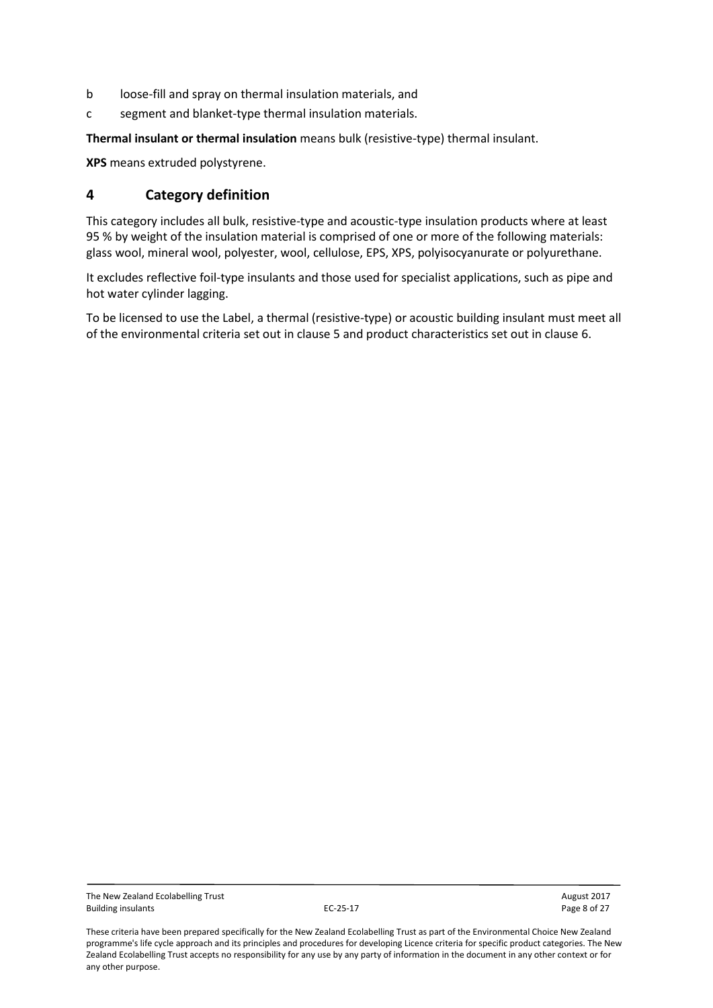- b loose-fill and spray on thermal insulation materials, and
- c segment and blanket-type thermal insulation materials.

**Thermal insulant or thermal insulation** means bulk (resistive-type) thermal insulant.

**XPS** means extruded polystyrene.

## <span id="page-7-0"></span>**4 Category definition**

This category includes all bulk, resistive-type and acoustic-type insulation products where at least 95 % by weight of the insulation material is comprised of one or more of the following materials: glass wool, mineral wool, polyester, wool, cellulose, EPS, XPS, polyisocyanurate or polyurethane.

It excludes reflective foil-type insulants and those used for specialist applications, such as pipe and hot water cylinder lagging.

To be licensed to use the Label, a thermal (resistive-type) or acoustic building insulant must meet all of the environmental criteria set out in clause 5 and product characteristics set out in clause 6.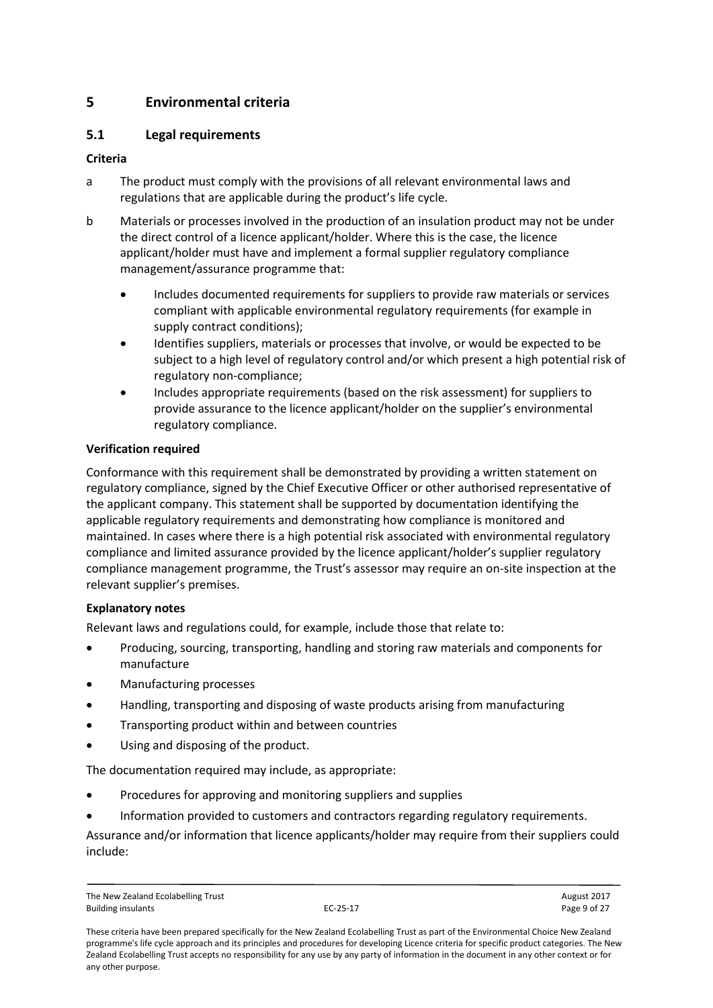## <span id="page-8-0"></span>**5 Environmental criteria**

## <span id="page-8-1"></span>**5.1 Legal requirements**

#### **Criteria**

- a The product must comply with the provisions of all relevant environmental laws and regulations that are applicable during the product's life cycle.
- b Materials or processes involved in the production of an insulation product may not be under the direct control of a licence applicant/holder. Where this is the case, the licence applicant/holder must have and implement a formal supplier regulatory compliance management/assurance programme that:
	- Includes documented requirements for suppliers to provide raw materials or services compliant with applicable environmental regulatory requirements (for example in supply contract conditions);
	- Identifies suppliers, materials or processes that involve, or would be expected to be subject to a high level of regulatory control and/or which present a high potential risk of regulatory non-compliance;
	- Includes appropriate requirements (based on the risk assessment) for suppliers to provide assurance to the licence applicant/holder on the supplier's environmental regulatory compliance.

#### **Verification required**

Conformance with this requirement shall be demonstrated by providing a written statement on regulatory compliance, signed by the Chief Executive Officer or other authorised representative of the applicant company. This statement shall be supported by documentation identifying the applicable regulatory requirements and demonstrating how compliance is monitored and maintained. In cases where there is a high potential risk associated with environmental regulatory compliance and limited assurance provided by the licence applicant/holder's supplier regulatory compliance management programme, the Trust's assessor may require an on-site inspection at the relevant supplier's premises.

#### **Explanatory notes**

Relevant laws and regulations could, for example, include those that relate to:

- Producing, sourcing, transporting, handling and storing raw materials and components for manufacture
- Manufacturing processes
- Handling, transporting and disposing of waste products arising from manufacturing
- Transporting product within and between countries
- Using and disposing of the product.

The documentation required may include, as appropriate:

- Procedures for approving and monitoring suppliers and supplies
- Information provided to customers and contractors regarding regulatory requirements.

Assurance and/or information that licence applicants/holder may require from their suppliers could include:

The New Zealand Ecolabelling Trust and the New Zealand Ecolabelling Trust August 2017<br>
FC-25-17 August 2017 Page 9 of 27 Building insulants **EC-25-17** Page 9 of 27

These criteria have been prepared specifically for the New Zealand Ecolabelling Trust as part of the Environmental Choice New Zealand programme's life cycle approach and its principles and procedures for developing Licence criteria for specific product categories. The New Zealand Ecolabelling Trust accepts no responsibility for any use by any party of information in the document in any other context or for any other purpose.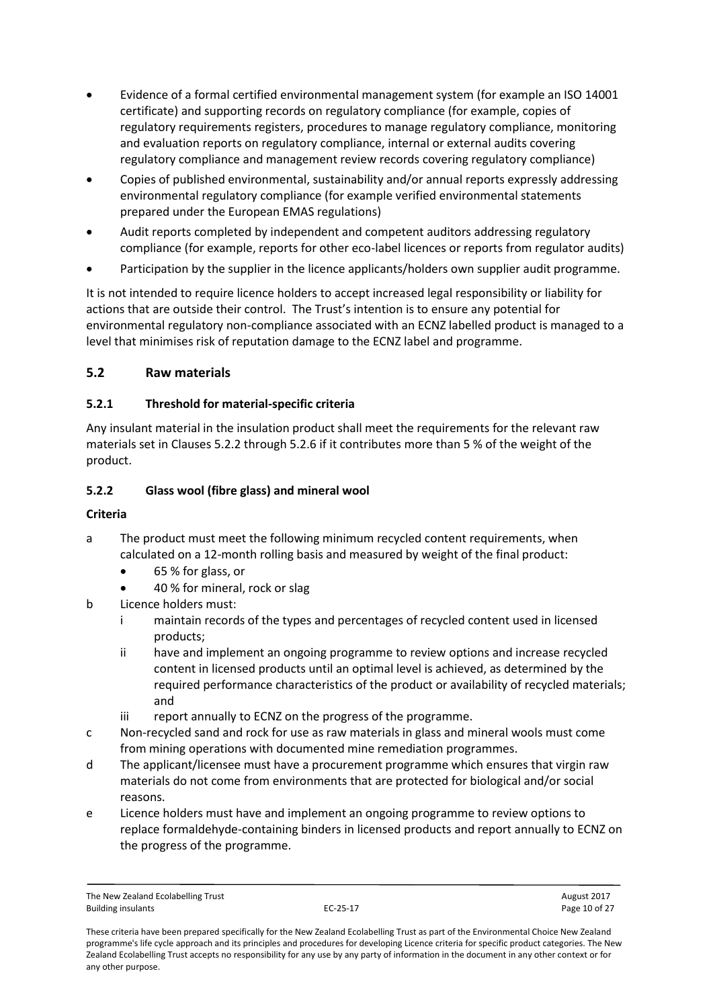- Evidence of a formal certified environmental management system (for example an ISO 14001 certificate) and supporting records on regulatory compliance (for example, copies of regulatory requirements registers, procedures to manage regulatory compliance, monitoring and evaluation reports on regulatory compliance, internal or external audits covering regulatory compliance and management review records covering regulatory compliance)
- Copies of published environmental, sustainability and/or annual reports expressly addressing environmental regulatory compliance (for example verified environmental statements prepared under the European EMAS regulations)
- Audit reports completed by independent and competent auditors addressing regulatory compliance (for example, reports for other eco-label licences or reports from regulator audits)
- Participation by the supplier in the licence applicants/holders own supplier audit programme.

It is not intended to require licence holders to accept increased legal responsibility or liability for actions that are outside their control. The Trust's intention is to ensure any potential for environmental regulatory non-compliance associated with an ECNZ labelled product is managed to a level that minimises risk of reputation damage to the ECNZ label and programme.

### <span id="page-9-0"></span>**5.2 Raw materials**

### <span id="page-9-1"></span>**5.2.1 Threshold for material-specific criteria**

Any insulant material in the insulation product shall meet the requirements for the relevant raw materials set in Clauses 5.2.2 through 5.2.6 if it contributes more than 5 % of the weight of the product.

### <span id="page-9-2"></span>**5.2.2 Glass wool (fibre glass) and mineral wool**

#### **Criteria**

- a The product must meet the following minimum recycled content requirements, when calculated on a 12-month rolling basis and measured by weight of the final product:
	- 65 % for glass, or
	- 40 % for mineral, rock or slag
- b Licence holders must:
	- i maintain records of the types and percentages of recycled content used in licensed products;
	- ii have and implement an ongoing programme to review options and increase recycled content in licensed products until an optimal level is achieved, as determined by the required performance characteristics of the product or availability of recycled materials; and
	- iii report annually to ECNZ on the progress of the programme.
- c Non-recycled sand and rock for use as raw materials in glass and mineral wools must come from mining operations with documented mine remediation programmes.
- d The applicant/licensee must have a procurement programme which ensures that virgin raw materials do not come from environments that are protected for biological and/or social reasons.
- e Licence holders must have and implement an ongoing programme to review options to replace formaldehyde-containing binders in licensed products and report annually to ECNZ on the progress of the programme.

The New Zealand Ecolabelling Trust and the Community Control of 27 and 2017<br>Building insulants August 2017 2017 August 2017 Building insulants **EC-25-17** Page 10 of 27

These criteria have been prepared specifically for the New Zealand Ecolabelling Trust as part of the Environmental Choice New Zealand programme's life cycle approach and its principles and procedures for developing Licence criteria for specific product categories. The New Zealand Ecolabelling Trust accepts no responsibility for any use by any party of information in the document in any other context or for any other purpose.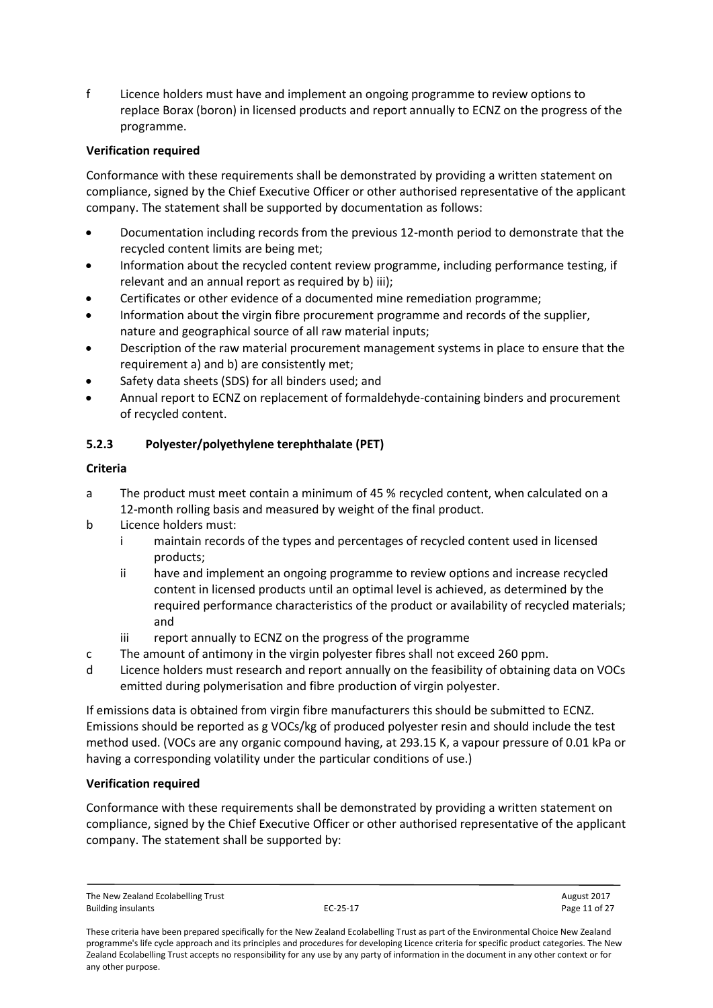f Licence holders must have and implement an ongoing programme to review options to replace Borax (boron) in licensed products and report annually to ECNZ on the progress of the programme.

#### **Verification required**

Conformance with these requirements shall be demonstrated by providing a written statement on compliance, signed by the Chief Executive Officer or other authorised representative of the applicant company. The statement shall be supported by documentation as follows:

- Documentation including records from the previous 12-month period to demonstrate that the recycled content limits are being met;
- Information about the recycled content review programme, including performance testing, if relevant and an annual report as required by b) iii);
- Certificates or other evidence of a documented mine remediation programme;
- Information about the virgin fibre procurement programme and records of the supplier, nature and geographical source of all raw material inputs;
- Description of the raw material procurement management systems in place to ensure that the requirement a) and b) are consistently met;
- Safety data sheets (SDS) for all binders used; and
- Annual report to ECNZ on replacement of formaldehyde-containing binders and procurement of recycled content.

### <span id="page-10-0"></span>**5.2.3 Polyester/polyethylene terephthalate (PET)**

#### **Criteria**

- a The product must meet contain a minimum of 45 % recycled content, when calculated on a 12-month rolling basis and measured by weight of the final product.
- b Licence holders must:
	- i maintain records of the types and percentages of recycled content used in licensed products;
	- ii have and implement an ongoing programme to review options and increase recycled content in licensed products until an optimal level is achieved, as determined by the required performance characteristics of the product or availability of recycled materials; and
	- iii report annually to ECNZ on the progress of the programme
- c The amount of antimony in the virgin polyester fibres shall not exceed 260 ppm.
- d Licence holders must research and report annually on the feasibility of obtaining data on VOCs emitted during polymerisation and fibre production of virgin polyester.

If emissions data is obtained from virgin fibre manufacturers this should be submitted to ECNZ. Emissions should be reported as g VOCs/kg of produced polyester resin and should include the test method used. (VOCs are any organic compound having, at 293.15 K, a vapour pressure of 0.01 kPa or having a corresponding volatility under the particular conditions of use.)

#### **Verification required**

Conformance with these requirements shall be demonstrated by providing a written statement on compliance, signed by the Chief Executive Officer or other authorised representative of the applicant company. The statement shall be supported by:

The New Zealand Ecolabelling Trust August 2017 Building insulants **EC-25-17** Page 11 of 27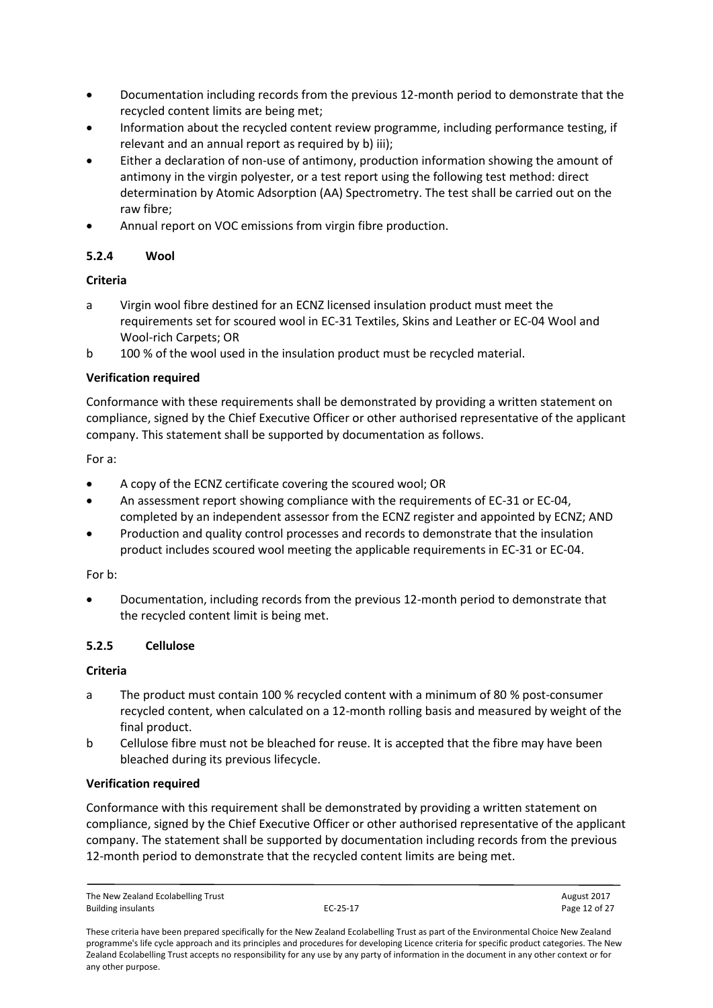- Documentation including records from the previous 12-month period to demonstrate that the recycled content limits are being met;
- Information about the recycled content review programme, including performance testing, if relevant and an annual report as required by b) iii);
- Either a declaration of non-use of antimony, production information showing the amount of antimony in the virgin polyester, or a test report using the following test method: direct determination by Atomic Adsorption (AA) Spectrometry. The test shall be carried out on the raw fibre;
- Annual report on VOC emissions from virgin fibre production.

### <span id="page-11-0"></span>**5.2.4 Wool**

### **Criteria**

- a Virgin wool fibre destined for an ECNZ licensed insulation product must meet the requirements set for scoured wool in EC-31 Textiles, Skins and Leather or EC-04 Wool and Wool-rich Carpets; OR
- b 100 % of the wool used in the insulation product must be recycled material.

### **Verification required**

Conformance with these requirements shall be demonstrated by providing a written statement on compliance, signed by the Chief Executive Officer or other authorised representative of the applicant company. This statement shall be supported by documentation as follows.

#### For a:

- A copy of the ECNZ certificate covering the scoured wool; OR
- An assessment report showing compliance with the requirements of EC-31 or EC-04, completed by an independent assessor from the ECNZ register and appointed by ECNZ; AND
- Production and quality control processes and records to demonstrate that the insulation product includes scoured wool meeting the applicable requirements in EC-31 or EC-04.

#### For b:

 Documentation, including records from the previous 12-month period to demonstrate that the recycled content limit is being met.

#### <span id="page-11-1"></span>**5.2.5 Cellulose**

#### **Criteria**

- a The product must contain 100 % recycled content with a minimum of 80 % post-consumer recycled content, when calculated on a 12-month rolling basis and measured by weight of the final product.
- b Cellulose fibre must not be bleached for reuse. It is accepted that the fibre may have been bleached during its previous lifecycle.

#### **Verification required**

Conformance with this requirement shall be demonstrated by providing a written statement on compliance, signed by the Chief Executive Officer or other authorised representative of the applicant company. The statement shall be supported by documentation including records from the previous 12-month period to demonstrate that the recycled content limits are being met.

The New Zealand Ecolabelling Trust August 2017 Building insulants **EC-25-17** Page 12 of 27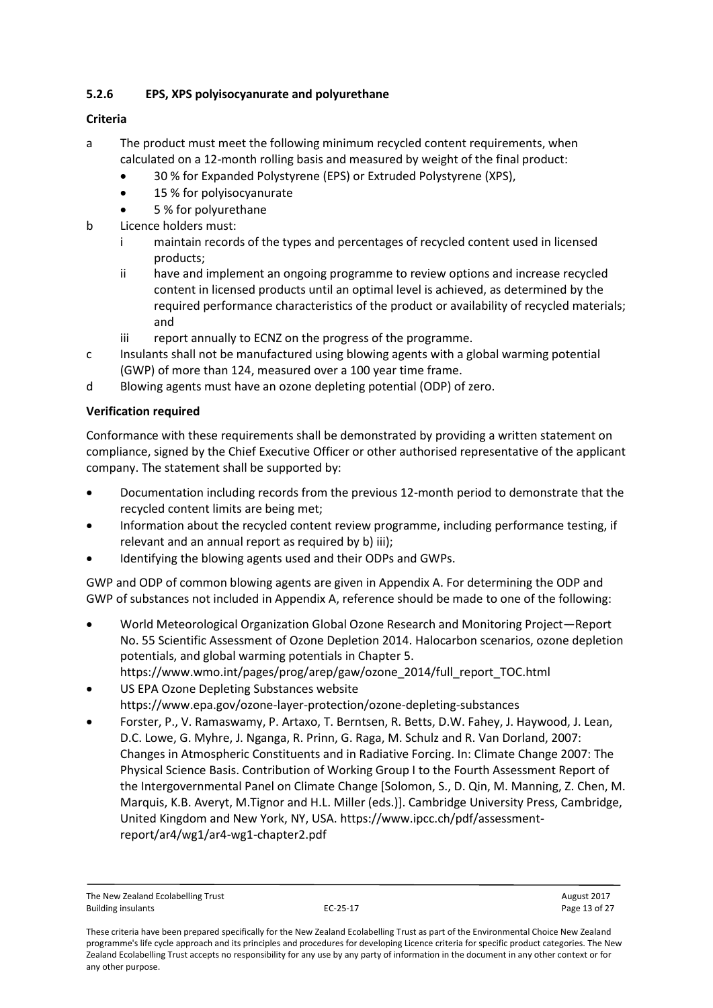### <span id="page-12-0"></span>**5.2.6 EPS, XPS polyisocyanurate and polyurethane**

#### **Criteria**

- a The product must meet the following minimum recycled content requirements, when calculated on a 12-month rolling basis and measured by weight of the final product:
	- 30 % for Expanded Polystyrene (EPS) or Extruded Polystyrene (XPS),
	- 15 % for polyisocyanurate
	- 5 % for polyurethane
- b Licence holders must:
	- i maintain records of the types and percentages of recycled content used in licensed products;
	- ii have and implement an ongoing programme to review options and increase recycled content in licensed products until an optimal level is achieved, as determined by the required performance characteristics of the product or availability of recycled materials; and
	- iii report annually to ECNZ on the progress of the programme.
- c Insulants shall not be manufactured using blowing agents with a global warming potential (GWP) of more than 124, measured over a 100 year time frame.
- d Blowing agents must have an ozone depleting potential (ODP) of zero.

### **Verification required**

Conformance with these requirements shall be demonstrated by providing a written statement on compliance, signed by the Chief Executive Officer or other authorised representative of the applicant company. The statement shall be supported by:

- Documentation including records from the previous 12-month period to demonstrate that the recycled content limits are being met;
- Information about the recycled content review programme, including performance testing, if relevant and an annual report as required by b) iii);
- Identifying the blowing agents used and their ODPs and GWPs.

GWP and ODP of common blowing agents are given in Appendix A. For determining the ODP and GWP of substances not included in Appendix A, reference should be made to one of the following:

- World Meteorological Organization Global Ozone Research and Monitoring Project—Report No. 55 Scientific Assessment of Ozone Depletion 2014. Halocarbon scenarios, ozone depletion potentials, and global warming potentials in Chapter 5. https://www.wmo.int/pages/prog/arep/gaw/ozone\_2014/full\_report\_TOC.html
- US EPA Ozone Depleting Substances website https://www.epa.gov/ozone-layer-protection/ozone-depleting-substances
- Forster, P., V. Ramaswamy, P. Artaxo, T. Berntsen, R. Betts, D.W. Fahey, J. Haywood, J. Lean, D.C. Lowe, G. Myhre, J. Nganga, R. Prinn, G. Raga, M. Schulz and R. Van Dorland, 2007: Changes in Atmospheric Constituents and in Radiative Forcing. In: Climate Change 2007: The Physical Science Basis. Contribution of Working Group I to the Fourth Assessment Report of the Intergovernmental Panel on Climate Change [Solomon, S., D. Qin, M. Manning, Z. Chen, M. Marquis, K.B. Averyt, M.Tignor and H.L. Miller (eds.)]. Cambridge University Press, Cambridge, United Kingdom and New York, NY, USA. https://www.ipcc.ch/pdf/assessmentreport/ar4/wg1/ar4-wg1-chapter2.pdf

The New Zealand Ecolabelling Trust August 2017 Building insulants **EC-25-17** Page 13 of 27

These criteria have been prepared specifically for the New Zealand Ecolabelling Trust as part of the Environmental Choice New Zealand programme's life cycle approach and its principles and procedures for developing Licence criteria for specific product categories. The New Zealand Ecolabelling Trust accepts no responsibility for any use by any party of information in the document in any other context or for any other purpose.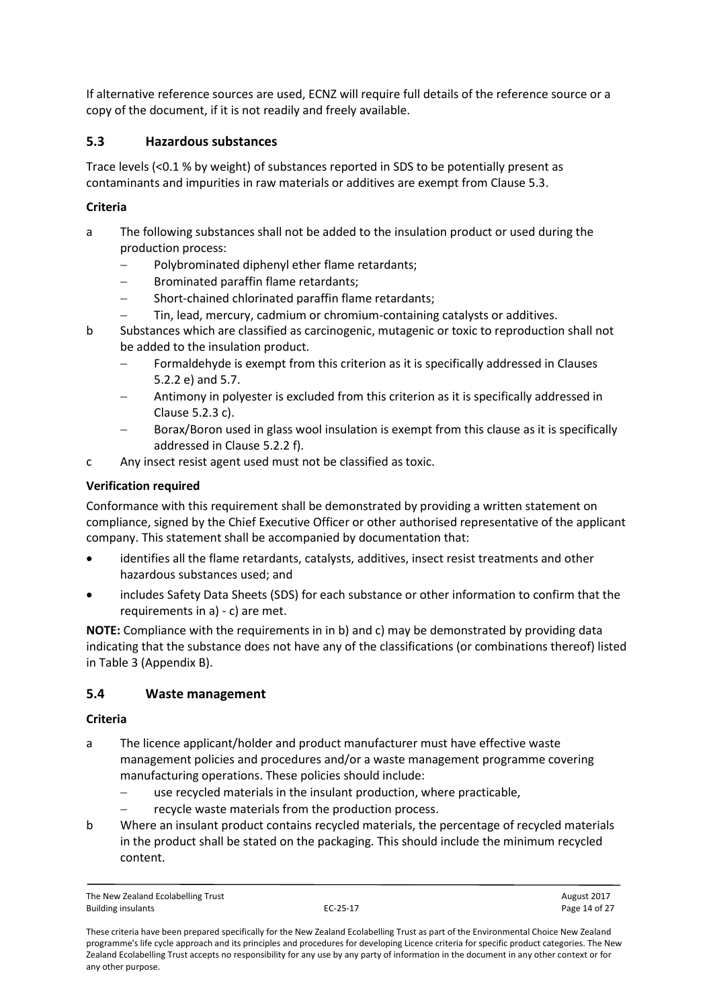If alternative reference sources are used, ECNZ will require full details of the reference source or a copy of the document, if it is not readily and freely available.

## <span id="page-13-0"></span>**5.3 Hazardous substances**

Trace levels (<0.1 % by weight) of substances reported in SDS to be potentially present as contaminants and impurities in raw materials or additives are exempt from Clause 5.3.

#### **Criteria**

- a The following substances shall not be added to the insulation product or used during the production process:
	- Polybrominated diphenyl ether flame retardants;
	- Brominated paraffin flame retardants;
	- Short-chained chlorinated paraffin flame retardants;
	- Tin, lead, mercury, cadmium or chromium-containing catalysts or additives.
- b Substances which are classified as carcinogenic, mutagenic or toxic to reproduction shall not be added to the insulation product.
	- Formaldehyde is exempt from this criterion as it is specifically addressed in Clauses 5.2.2 e) and 5.7.
	- Antimony in polyester is excluded from this criterion as it is specifically addressed in Clause 5.2.3 c).
	- Borax/Boron used in glass wool insulation is exempt from this clause as it is specifically addressed in Clause 5.2.2 f).
- c Any insect resist agent used must not be classified as toxic.

### **Verification required**

Conformance with this requirement shall be demonstrated by providing a written statement on compliance, signed by the Chief Executive Officer or other authorised representative of the applicant company. This statement shall be accompanied by documentation that:

- identifies all the flame retardants, catalysts, additives, insect resist treatments and other hazardous substances used; and
- includes Safety Data Sheets (SDS) for each substance or other information to confirm that the requirements in a) - c) are met.

**NOTE:** Compliance with the requirements in in b) and c) may be demonstrated by providing data indicating that the substance does not have any of the classifications (or combinations thereof) listed in Table 3 (Appendix B).

## <span id="page-13-1"></span>**5.4 Waste management**

#### **Criteria**

- a The licence applicant/holder and product manufacturer must have effective waste management policies and procedures and/or a waste management programme covering manufacturing operations. These policies should include:
	- use recycled materials in the insulant production, where practicable,
	- recycle waste materials from the production process.
- b Where an insulant product contains recycled materials, the percentage of recycled materials in the product shall be stated on the packaging. This should include the minimum recycled content.

These criteria have been prepared specifically for the New Zealand Ecolabelling Trust as part of the Environmental Choice New Zealand programme's life cycle approach and its principles and procedures for developing Licence criteria for specific product categories. The New Zealand Ecolabelling Trust accepts no responsibility for any use by any party of information in the document in any other context or for any other purpose.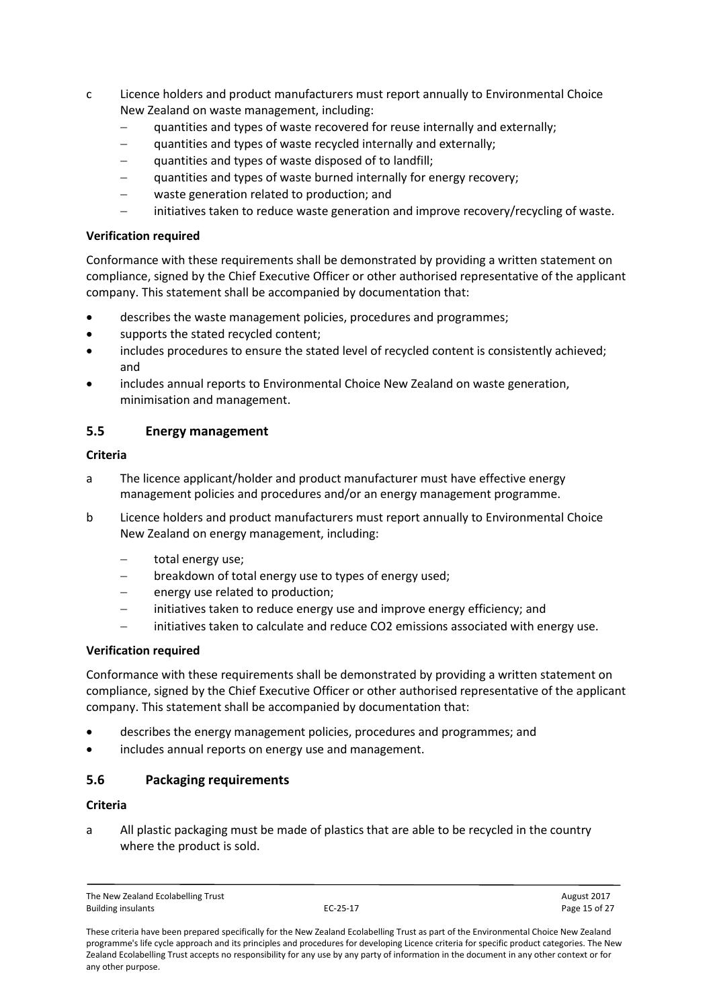- c Licence holders and product manufacturers must report annually to Environmental Choice New Zealand on waste management, including:
	- quantities and types of waste recovered for reuse internally and externally;
	- quantities and types of waste recycled internally and externally;
	- quantities and types of waste disposed of to landfill;
	- quantities and types of waste burned internally for energy recovery;
	- waste generation related to production; and
	- initiatives taken to reduce waste generation and improve recovery/recycling of waste.

Conformance with these requirements shall be demonstrated by providing a written statement on compliance, signed by the Chief Executive Officer or other authorised representative of the applicant company. This statement shall be accompanied by documentation that:

- describes the waste management policies, procedures and programmes;
- supports the stated recycled content;
- includes procedures to ensure the stated level of recycled content is consistently achieved; and
- includes annual reports to Environmental Choice New Zealand on waste generation, minimisation and management.

#### <span id="page-14-0"></span>**5.5 Energy management**

#### **Criteria**

- a The licence applicant/holder and product manufacturer must have effective energy management policies and procedures and/or an energy management programme.
- b Licence holders and product manufacturers must report annually to Environmental Choice New Zealand on energy management, including:
	- total energy use;
	- breakdown of total energy use to types of energy used;
	- energy use related to production;
	- initiatives taken to reduce energy use and improve energy efficiency; and
	- initiatives taken to calculate and reduce CO2 emissions associated with energy use.

#### **Verification required**

Conformance with these requirements shall be demonstrated by providing a written statement on compliance, signed by the Chief Executive Officer or other authorised representative of the applicant company. This statement shall be accompanied by documentation that:

- describes the energy management policies, procedures and programmes; and
- includes annual reports on energy use and management.

#### <span id="page-14-1"></span>**5.6 Packaging requirements**

#### **Criteria**

a All plastic packaging must be made of plastics that are able to be recycled in the country where the product is sold.

The New Zealand Ecolabelling Trust and the New Zealand Ecolabelling Trust August 2017<br>
Ruilding insulants August 2017<br>
Agge 15 of 27 Building insulants **EC-25-17** Page 15 of 27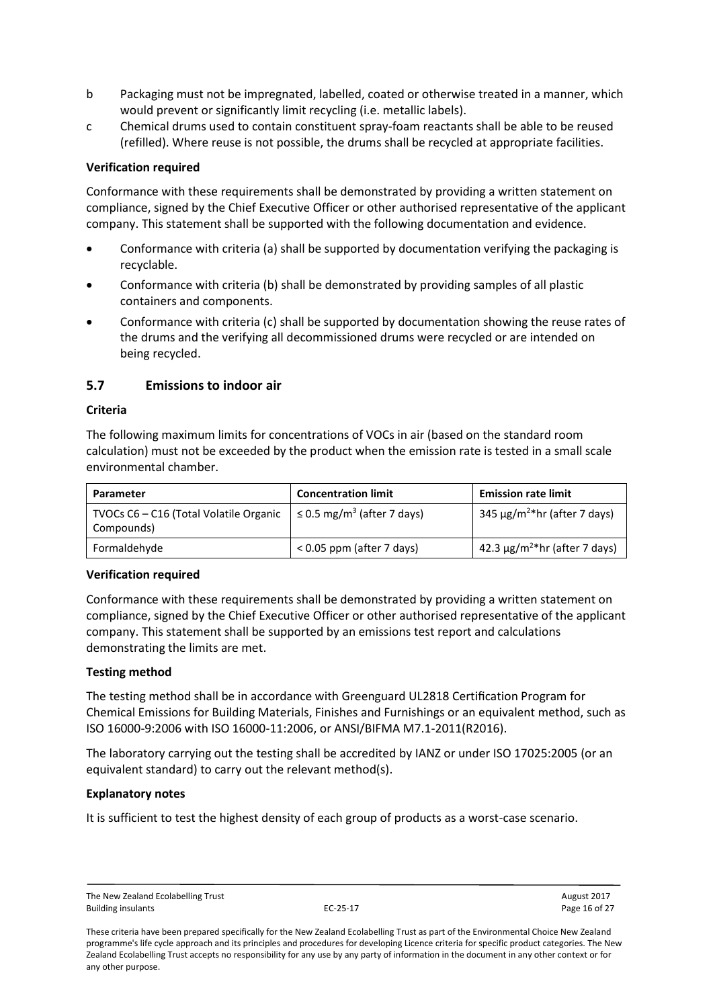- b Packaging must not be impregnated, labelled, coated or otherwise treated in a manner, which would prevent or significantly limit recycling (i.e. metallic labels).
- c Chemical drums used to contain constituent spray-foam reactants shall be able to be reused (refilled). Where reuse is not possible, the drums shall be recycled at appropriate facilities.

Conformance with these requirements shall be demonstrated by providing a written statement on compliance, signed by the Chief Executive Officer or other authorised representative of the applicant company. This statement shall be supported with the following documentation and evidence.

- Conformance with criteria (a) shall be supported by documentation verifying the packaging is recyclable.
- Conformance with criteria (b) shall be demonstrated by providing samples of all plastic containers and components.
- Conformance with criteria (c) shall be supported by documentation showing the reuse rates of the drums and the verifying all decommissioned drums were recycled or are intended on being recycled.

#### <span id="page-15-0"></span>**5.7 Emissions to indoor air**

#### **Criteria**

The following maximum limits for concentrations of VOCs in air (based on the standard room calculation) must not be exceeded by the product when the emission rate is tested in a small scale environmental chamber.

| Parameter                                            | <b>Concentration limit</b>                  | <b>Emission rate limit</b>                     |
|------------------------------------------------------|---------------------------------------------|------------------------------------------------|
| TVOCs C6 - C16 (Total Volatile Organic<br>Compounds) | $\leq$ 0.5 mg/m <sup>3</sup> (after 7 days) | 345 $\mu$ g/m <sup>2*</sup> hr (after 7 days)  |
| Formaldehyde                                         | $< 0.05$ ppm (after 7 days)                 | 42.3 $\mu$ g/m <sup>2*</sup> hr (after 7 days) |

#### **Verification required**

Conformance with these requirements shall be demonstrated by providing a written statement on compliance, signed by the Chief Executive Officer or other authorised representative of the applicant company. This statement shall be supported by an emissions test report and calculations demonstrating the limits are met.

#### **Testing method**

The testing method shall be in accordance with Greenguard UL2818 Certification Program for Chemical Emissions for Building Materials, Finishes and Furnishings or an equivalent method, such as ISO 16000-9:2006 with ISO 16000-11:2006, or ANSI/BIFMA M7.1-2011(R2016).

The laboratory carrying out the testing shall be accredited by IANZ or under ISO 17025:2005 (or an equivalent standard) to carry out the relevant method(s).

#### **Explanatory notes**

It is sufficient to test the highest density of each group of products as a worst-case scenario.

The New Zealand Ecolabelling Trust August 2017 Building insulants **EC-25-17** Page 16 of 27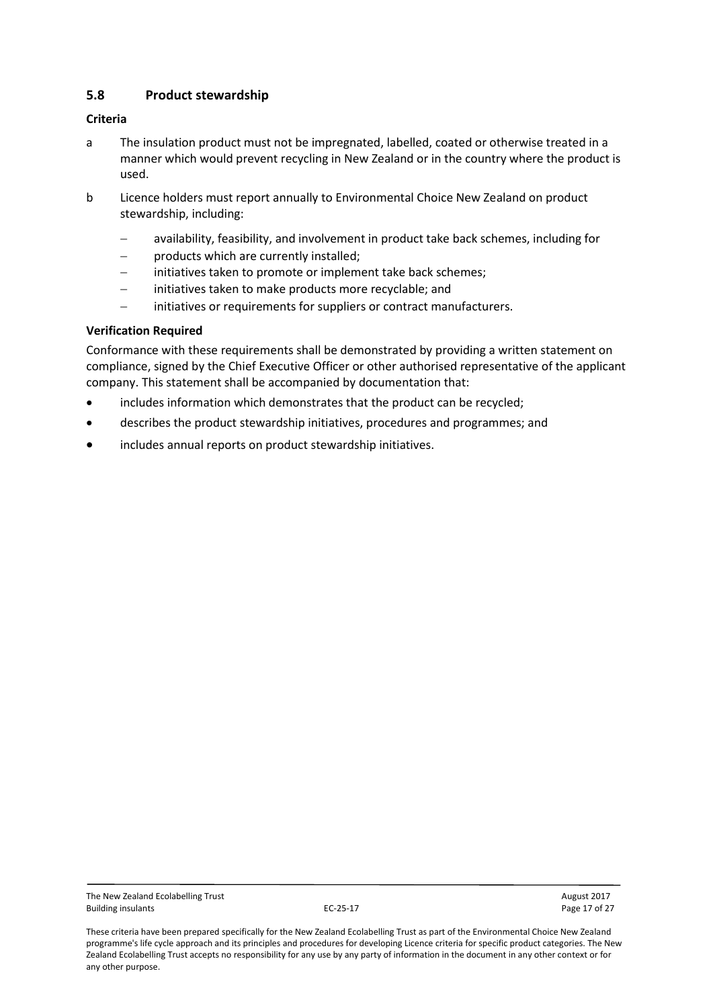## <span id="page-16-0"></span>**5.8 Product stewardship**

#### **Criteria**

- a The insulation product must not be impregnated, labelled, coated or otherwise treated in a manner which would prevent recycling in New Zealand or in the country where the product is used.
- b Licence holders must report annually to Environmental Choice New Zealand on product stewardship, including:
	- availability, feasibility, and involvement in product take back schemes, including for
	- products which are currently installed;
	- initiatives taken to promote or implement take back schemes;
	- initiatives taken to make products more recyclable; and
	- initiatives or requirements for suppliers or contract manufacturers.

#### **Verification Required**

Conformance with these requirements shall be demonstrated by providing a written statement on compliance, signed by the Chief Executive Officer or other authorised representative of the applicant company. This statement shall be accompanied by documentation that:

- includes information which demonstrates that the product can be recycled;
- describes the product stewardship initiatives, procedures and programmes; and
- includes annual reports on product stewardship initiatives.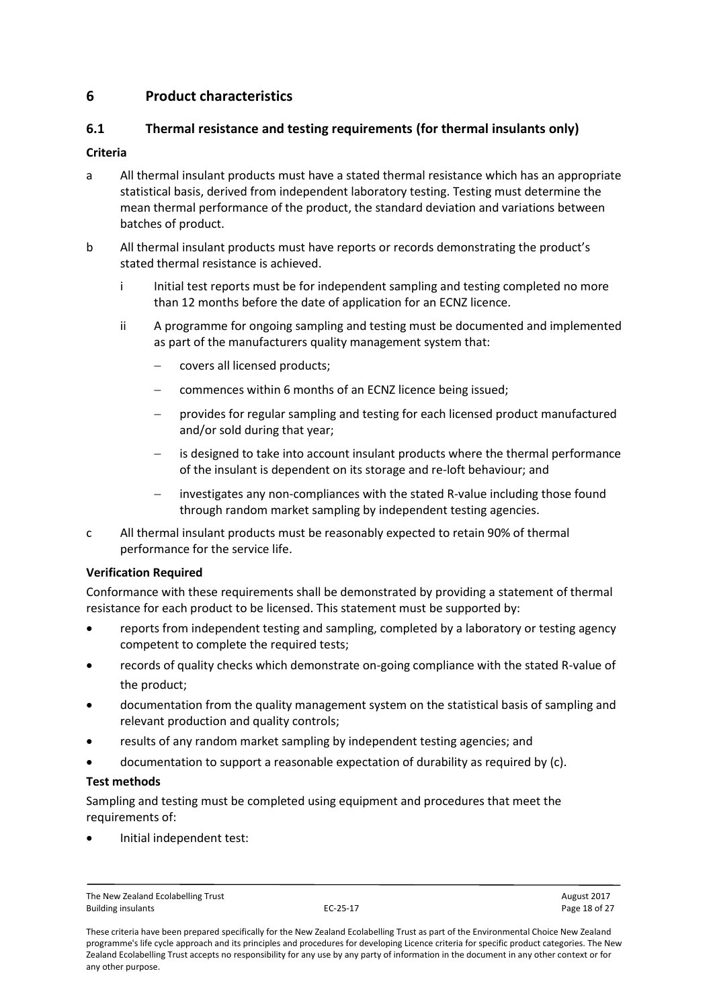## <span id="page-17-0"></span>**6 Product characteristics**

## <span id="page-17-1"></span>**6.1 Thermal resistance and testing requirements (for thermal insulants only)**

### **Criteria**

- a All thermal insulant products must have a stated thermal resistance which has an appropriate statistical basis, derived from independent laboratory testing. Testing must determine the mean thermal performance of the product, the standard deviation and variations between batches of product.
- b All thermal insulant products must have reports or records demonstrating the product's stated thermal resistance is achieved.
	- i Initial test reports must be for independent sampling and testing completed no more than 12 months before the date of application for an ECNZ licence.
	- ii A programme for ongoing sampling and testing must be documented and implemented as part of the manufacturers quality management system that:
		- covers all licensed products;
		- commences within 6 months of an ECNZ licence being issued;
		- provides for regular sampling and testing for each licensed product manufactured and/or sold during that year;
		- is designed to take into account insulant products where the thermal performance of the insulant is dependent on its storage and re-loft behaviour; and
		- investigates any non-compliances with the stated R-value including those found through random market sampling by independent testing agencies.
- c All thermal insulant products must be reasonably expected to retain 90% of thermal performance for the service life.

#### **Verification Required**

Conformance with these requirements shall be demonstrated by providing a statement of thermal resistance for each product to be licensed. This statement must be supported by:

- reports from independent testing and sampling, completed by a laboratory or testing agency competent to complete the required tests;
- records of quality checks which demonstrate on-going compliance with the stated R-value of the product;
- documentation from the quality management system on the statistical basis of sampling and relevant production and quality controls;
- results of any random market sampling by independent testing agencies; and
- documentation to support a reasonable expectation of durability as required by (c).

#### **Test methods**

Sampling and testing must be completed using equipment and procedures that meet the requirements of:

Initial independent test:

The New Zealand Ecolabelling Trust and the New Zealand Ecolabelling Trust August 2017<br>
Ruilding insulants August 2017<br>
Rage 18 of 27 Building insulants **EC-25-17** Page 18 of 27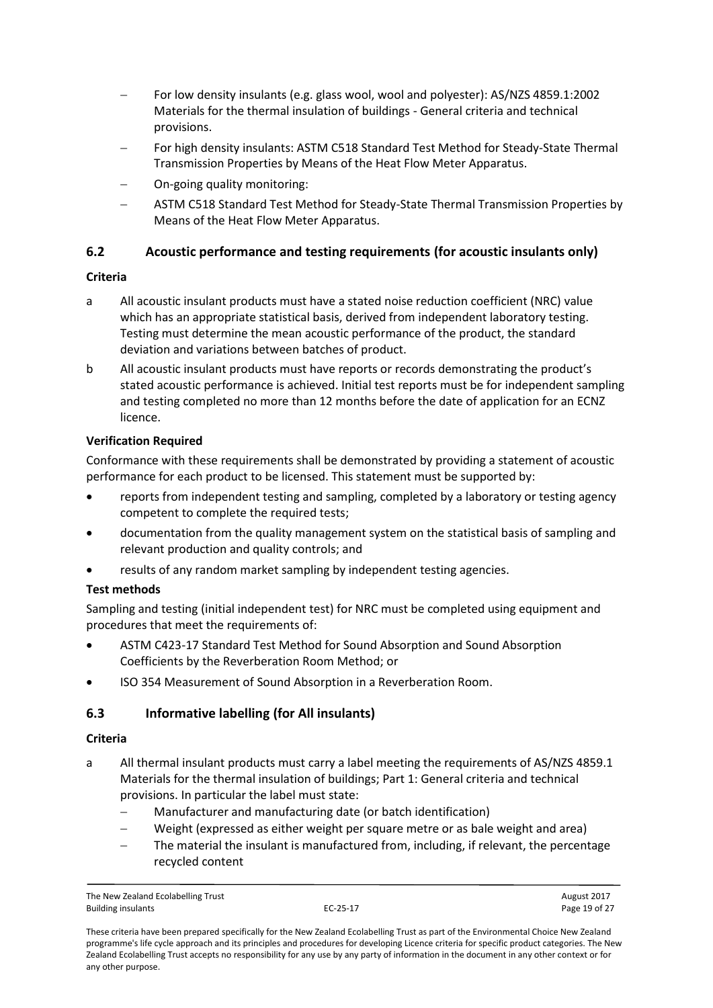- For low density insulants (e.g. glass wool, wool and polyester): AS/NZS 4859.1:2002 Materials for the thermal insulation of buildings - General criteria and technical provisions.
- For high density insulants: ASTM C518 Standard Test Method for Steady-State Thermal Transmission Properties by Means of the Heat Flow Meter Apparatus.
- On-going quality monitoring:
- ASTM C518 Standard Test Method for Steady-State Thermal Transmission Properties by Means of the Heat Flow Meter Apparatus.

## <span id="page-18-0"></span>**6.2 Acoustic performance and testing requirements (for acoustic insulants only)**

#### **Criteria**

- a All acoustic insulant products must have a stated noise reduction coefficient (NRC) value which has an appropriate statistical basis, derived from independent laboratory testing. Testing must determine the mean acoustic performance of the product, the standard deviation and variations between batches of product.
- b All acoustic insulant products must have reports or records demonstrating the product's stated acoustic performance is achieved. Initial test reports must be for independent sampling and testing completed no more than 12 months before the date of application for an ECNZ licence.

### **Verification Required**

Conformance with these requirements shall be demonstrated by providing a statement of acoustic performance for each product to be licensed. This statement must be supported by:

- reports from independent testing and sampling, completed by a laboratory or testing agency competent to complete the required tests;
- documentation from the quality management system on the statistical basis of sampling and relevant production and quality controls; and
- results of any random market sampling by independent testing agencies.

#### **Test methods**

Sampling and testing (initial independent test) for NRC must be completed using equipment and procedures that meet the requirements of:

- ASTM C423-17 Standard Test Method for Sound Absorption and Sound Absorption Coefficients by the Reverberation Room Method; or
- ISO 354 Measurement of Sound Absorption in a Reverberation Room.

## <span id="page-18-1"></span>**6.3 Informative labelling (for All insulants)**

#### **Criteria**

- a All thermal insulant products must carry a label meeting the requirements of AS/NZS 4859.1 Materials for the thermal insulation of buildings; Part 1: General criteria and technical provisions. In particular the label must state:
	- Manufacturer and manufacturing date (or batch identification)
	- Weight (expressed as either weight per square metre or as bale weight and area)
	- The material the insulant is manufactured from, including, if relevant, the percentage recycled content

The New Zealand Ecolabelling Trust and the New Zealand Ecolabelling Trust August 2017<br>
Ruilding insulants August 2017<br>
Agge 19 of 27 Building insulants **EC-25-17** Page 19 of 27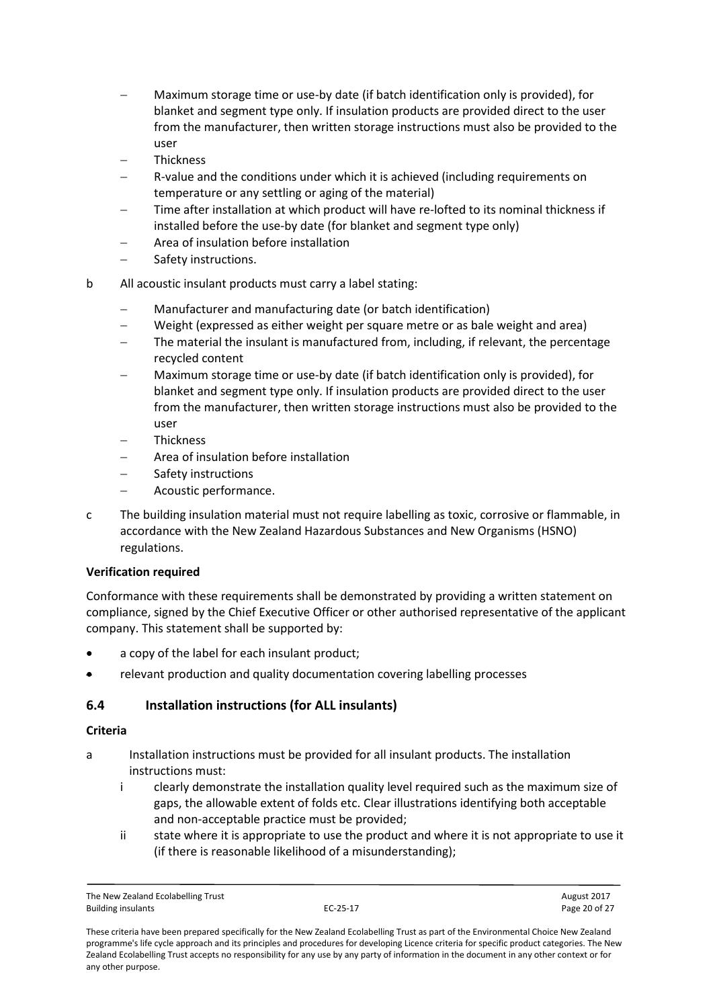- Maximum storage time or use-by date (if batch identification only is provided), for blanket and segment type only. If insulation products are provided direct to the user from the manufacturer, then written storage instructions must also be provided to the user
- Thickness
- R-value and the conditions under which it is achieved (including requirements on temperature or any settling or aging of the material)
- Time after installation at which product will have re-lofted to its nominal thickness if installed before the use-by date (for blanket and segment type only)
- Area of insulation before installation
- Safety instructions.
- b All acoustic insulant products must carry a label stating:
	- Manufacturer and manufacturing date (or batch identification)
	- Weight (expressed as either weight per square metre or as bale weight and area)
	- The material the insulant is manufactured from, including, if relevant, the percentage recycled content
	- Maximum storage time or use-by date (if batch identification only is provided), for blanket and segment type only. If insulation products are provided direct to the user from the manufacturer, then written storage instructions must also be provided to the user
	- Thickness
	- Area of insulation before installation
	- Safety instructions
	- Acoustic performance.
- c The building insulation material must not require labelling as toxic, corrosive or flammable, in accordance with the New Zealand Hazardous Substances and New Organisms (HSNO) regulations.

Conformance with these requirements shall be demonstrated by providing a written statement on compliance, signed by the Chief Executive Officer or other authorised representative of the applicant company. This statement shall be supported by:

- a copy of the label for each insulant product;
- relevant production and quality documentation covering labelling processes

## <span id="page-19-0"></span>**6.4 Installation instructions (for ALL insulants)**

#### **Criteria**

- a Installation instructions must be provided for all insulant products. The installation instructions must:
	- i clearly demonstrate the installation quality level required such as the maximum size of gaps, the allowable extent of folds etc. Clear illustrations identifying both acceptable and non-acceptable practice must be provided;
	- ii state where it is appropriate to use the product and where it is not appropriate to use it (if there is reasonable likelihood of a misunderstanding);

These criteria have been prepared specifically for the New Zealand Ecolabelling Trust as part of the Environmental Choice New Zealand programme's life cycle approach and its principles and procedures for developing Licence criteria for specific product categories. The New Zealand Ecolabelling Trust accepts no responsibility for any use by any party of information in the document in any other context or for any other purpose.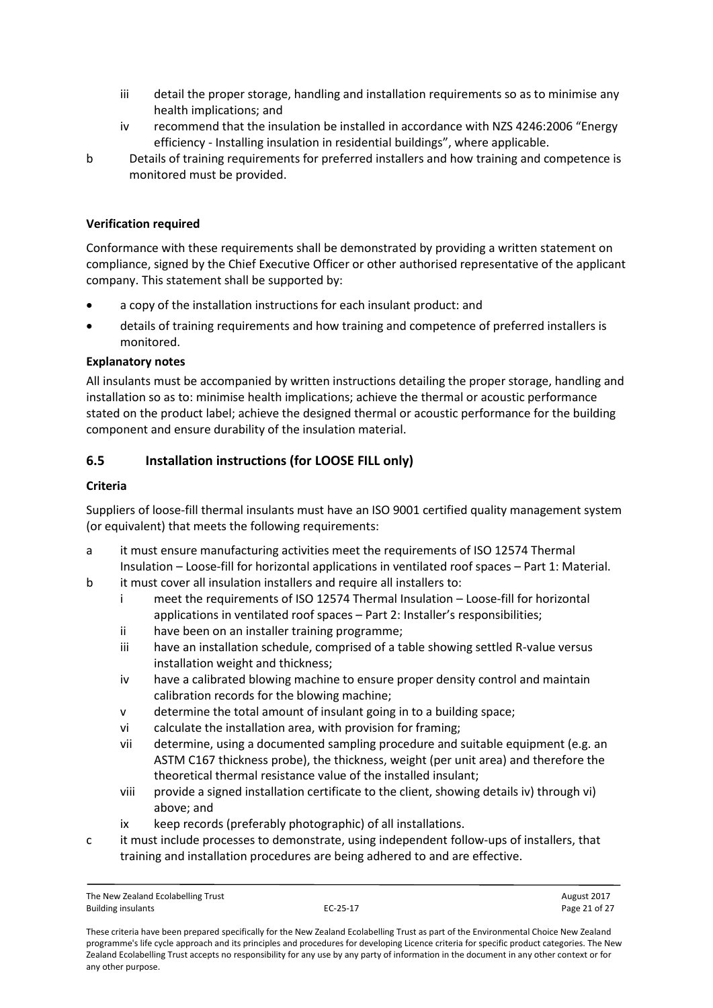- iii detail the proper storage, handling and installation requirements so as to minimise any health implications; and
- iv recommend that the insulation be installed in accordance with NZS 4246:2006 "Energy efficiency - Installing insulation in residential buildings", where applicable.
- b Details of training requirements for preferred installers and how training and competence is monitored must be provided.

Conformance with these requirements shall be demonstrated by providing a written statement on compliance, signed by the Chief Executive Officer or other authorised representative of the applicant company. This statement shall be supported by:

- a copy of the installation instructions for each insulant product: and
- details of training requirements and how training and competence of preferred installers is monitored.

#### **Explanatory notes**

All insulants must be accompanied by written instructions detailing the proper storage, handling and installation so as to: minimise health implications; achieve the thermal or acoustic performance stated on the product label; achieve the designed thermal or acoustic performance for the building component and ensure durability of the insulation material.

### <span id="page-20-0"></span>**6.5 Installation instructions (for LOOSE FILL only)**

#### **Criteria**

Suppliers of loose-fill thermal insulants must have an ISO 9001 certified quality management system (or equivalent) that meets the following requirements:

- a it must ensure manufacturing activities meet the requirements of ISO 12574 Thermal Insulation – Loose-fill for horizontal applications in ventilated roof spaces – Part 1: Material.
- b it must cover all insulation installers and require all installers to:
	- i meet the requirements of ISO 12574 Thermal Insulation Loose-fill for horizontal applications in ventilated roof spaces – Part 2: Installer's responsibilities;
	- ii have been on an installer training programme;
	- iii have an installation schedule, comprised of a table showing settled R-value versus installation weight and thickness;
	- iv have a calibrated blowing machine to ensure proper density control and maintain calibration records for the blowing machine;
	- determine the total amount of insulant going in to a building space;
	- vi calculate the installation area, with provision for framing;
	- vii determine, using a documented sampling procedure and suitable equipment (e.g. an ASTM C167 thickness probe), the thickness, weight (per unit area) and therefore the theoretical thermal resistance value of the installed insulant;
	- viii provide a signed installation certificate to the client, showing details iv) through vi) above; and
	- ix keep records (preferably photographic) of all installations.
- c it must include processes to demonstrate, using independent follow-ups of installers, that training and installation procedures are being adhered to and are effective.

The New Zealand Ecolabelling Trust August 2017 Building insulants **EC-25-17** Page 21 of 27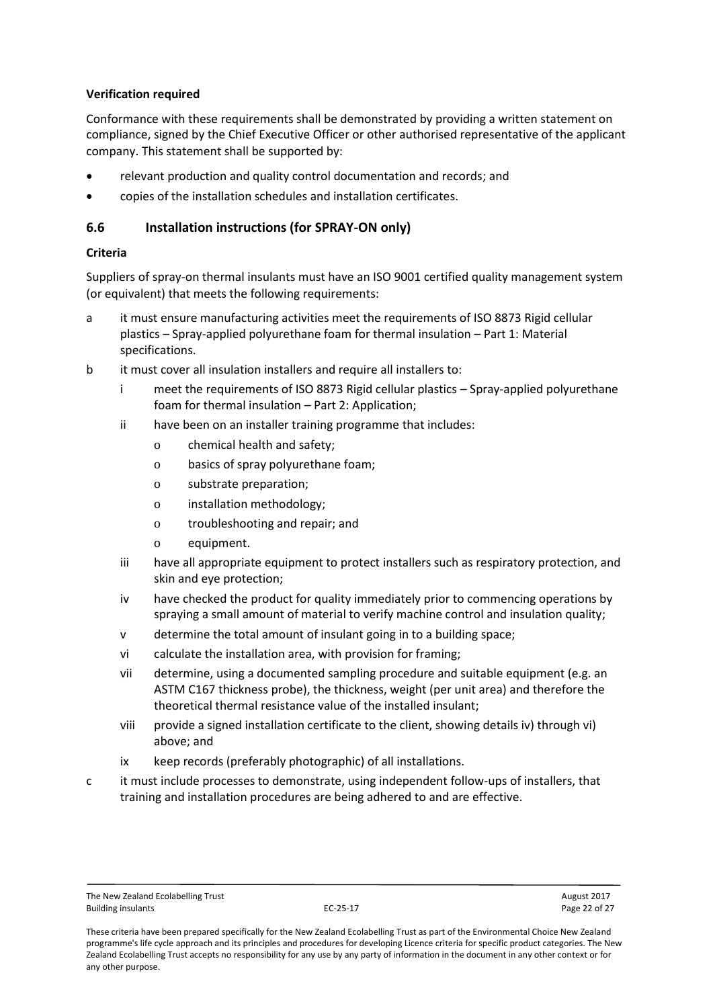Conformance with these requirements shall be demonstrated by providing a written statement on compliance, signed by the Chief Executive Officer or other authorised representative of the applicant company. This statement shall be supported by:

- relevant production and quality control documentation and records; and
- copies of the installation schedules and installation certificates.

### <span id="page-21-0"></span>**6.6 Installation instructions (for SPRAY-ON only)**

#### **Criteria**

Suppliers of spray-on thermal insulants must have an ISO 9001 certified quality management system (or equivalent) that meets the following requirements:

- a it must ensure manufacturing activities meet the requirements of ISO 8873 Rigid cellular plastics – Spray-applied polyurethane foam for thermal insulation – Part 1: Material specifications.
- b it must cover all insulation installers and require all installers to:
	- i meet the requirements of ISO 8873 Rigid cellular plastics Spray-applied polyurethane foam for thermal insulation – Part 2: Application;
	- ii have been on an installer training programme that includes:
		- o chemical health and safety;
		- o basics of spray polyurethane foam;
		- o substrate preparation;
		- o installation methodology;
		- o troubleshooting and repair; and
		- o equipment.
	- iii have all appropriate equipment to protect installers such as respiratory protection, and skin and eye protection;
	- iv have checked the product for quality immediately prior to commencing operations by spraying a small amount of material to verify machine control and insulation quality;
	- v determine the total amount of insulant going in to a building space;
	- vi calculate the installation area, with provision for framing;
	- vii determine, using a documented sampling procedure and suitable equipment (e.g. an ASTM C167 thickness probe), the thickness, weight (per unit area) and therefore the theoretical thermal resistance value of the installed insulant;
	- viii provide a signed installation certificate to the client, showing details iv) through vi) above; and
	- ix keep records (preferably photographic) of all installations.
- c it must include processes to demonstrate, using independent follow-ups of installers, that training and installation procedures are being adhered to and are effective.

These criteria have been prepared specifically for the New Zealand Ecolabelling Trust as part of the Environmental Choice New Zealand programme's life cycle approach and its principles and procedures for developing Licence criteria for specific product categories. The New Zealand Ecolabelling Trust accepts no responsibility for any use by any party of information in the document in any other context or for any other purpose.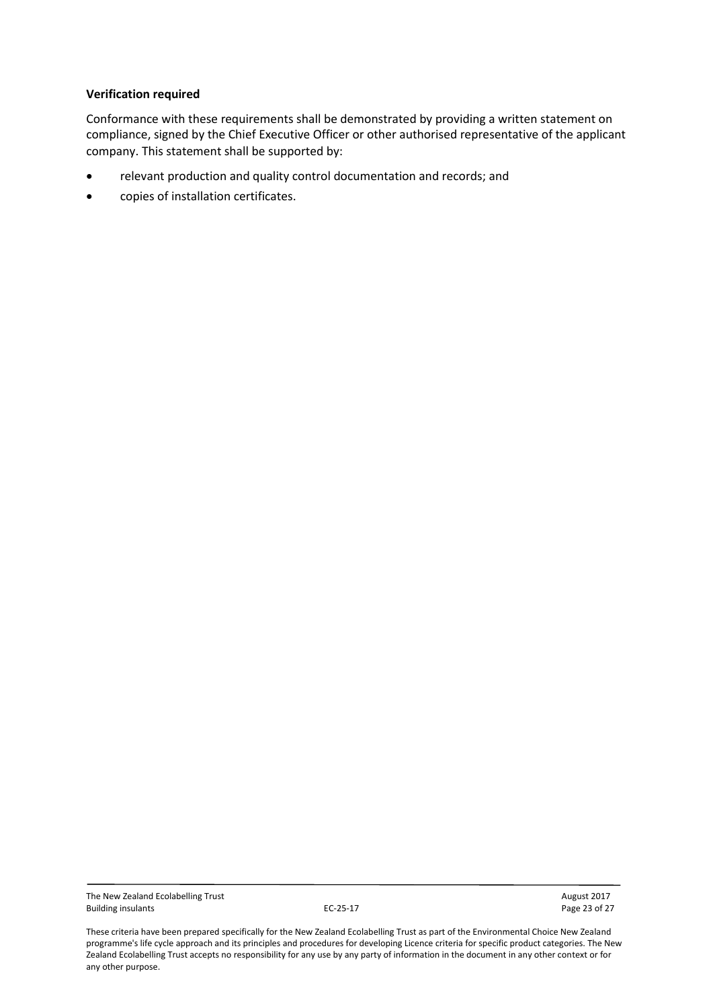Conformance with these requirements shall be demonstrated by providing a written statement on compliance, signed by the Chief Executive Officer or other authorised representative of the applicant company. This statement shall be supported by:

- relevant production and quality control documentation and records; and
- copies of installation certificates.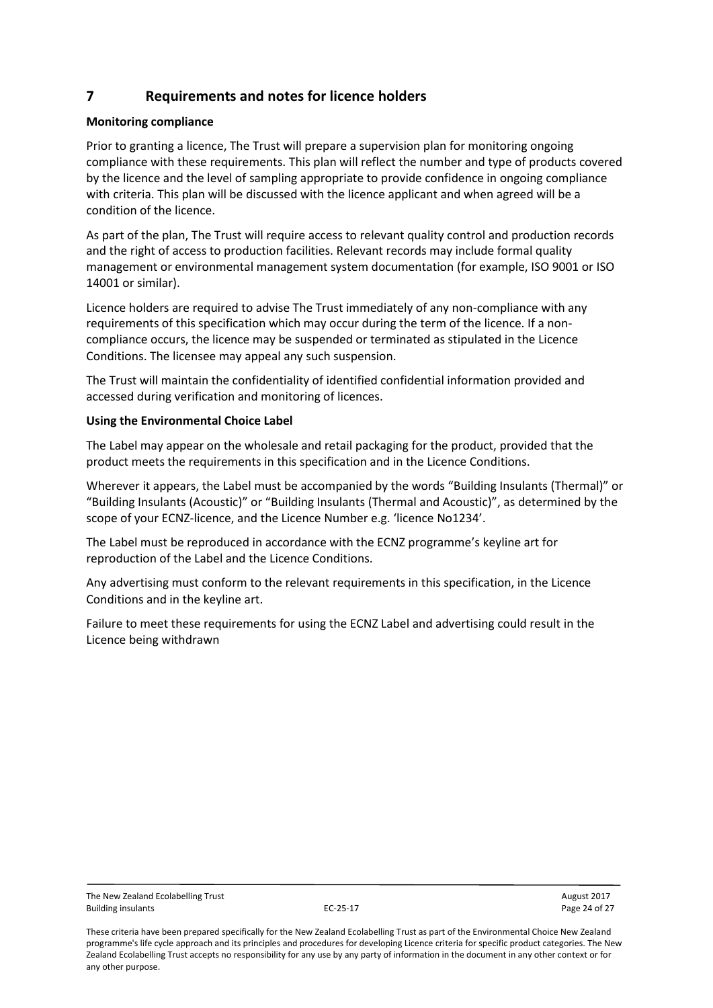## <span id="page-23-0"></span>**7 Requirements and notes for licence holders**

#### **Monitoring compliance**

Prior to granting a licence, The Trust will prepare a supervision plan for monitoring ongoing compliance with these requirements. This plan will reflect the number and type of products covered by the licence and the level of sampling appropriate to provide confidence in ongoing compliance with criteria. This plan will be discussed with the licence applicant and when agreed will be a condition of the licence.

As part of the plan, The Trust will require access to relevant quality control and production records and the right of access to production facilities. Relevant records may include formal quality management or environmental management system documentation (for example, ISO 9001 or ISO 14001 or similar).

Licence holders are required to advise The Trust immediately of any non-compliance with any requirements of this specification which may occur during the term of the licence. If a noncompliance occurs, the licence may be suspended or terminated as stipulated in the Licence Conditions. The licensee may appeal any such suspension.

The Trust will maintain the confidentiality of identified confidential information provided and accessed during verification and monitoring of licences.

#### **Using the Environmental Choice Label**

The Label may appear on the wholesale and retail packaging for the product, provided that the product meets the requirements in this specification and in the Licence Conditions.

Wherever it appears, the Label must be accompanied by the words "Building Insulants (Thermal)" or "Building Insulants (Acoustic)" or "Building Insulants (Thermal and Acoustic)", as determined by the scope of your ECNZ-licence, and the Licence Number e.g. 'licence No1234'.

The Label must be reproduced in accordance with the ECNZ programme's keyline art for reproduction of the Label and the Licence Conditions.

Any advertising must conform to the relevant requirements in this specification, in the Licence Conditions and in the keyline art.

Failure to meet these requirements for using the ECNZ Label and advertising could result in the Licence being withdrawn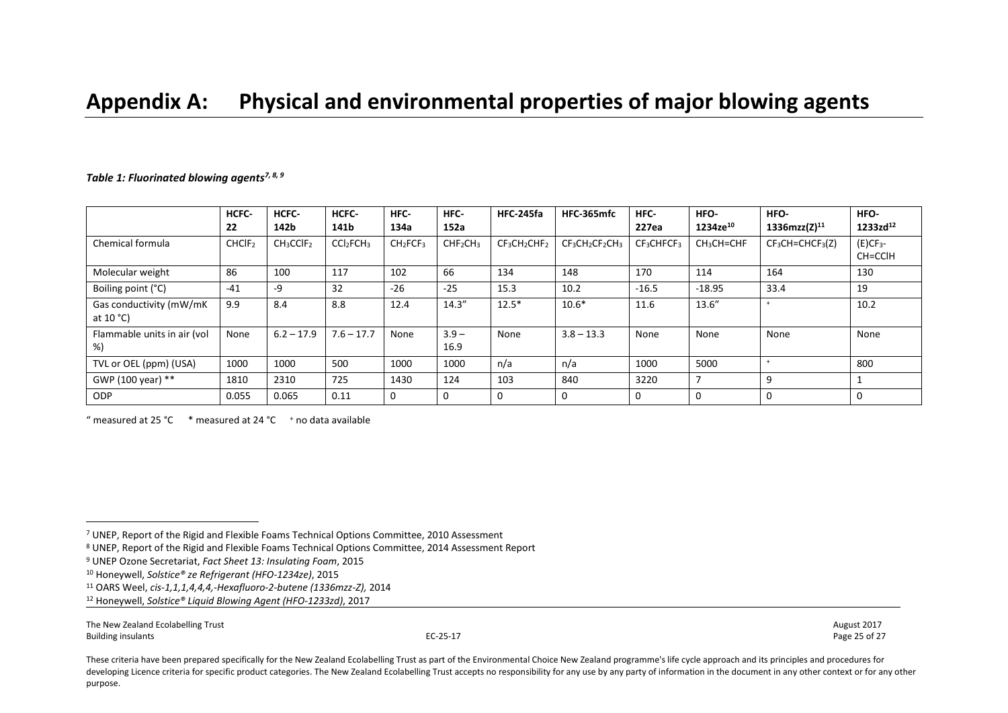## **Appendix A: Physical and environmental properties of major blowing agents**

#### <span id="page-24-2"></span><span id="page-24-1"></span><span id="page-24-0"></span>*Table 1: Fluorinated blowing agents7, 8, 9*

|                                         | HCFC-<br>22        | HCFC-<br>142b                     | HCFC-<br>141b                     | HFC-<br>134a                     | HFC-<br>152a                     | <b>HFC-245fa</b> | HFC-365mfc     | HFC-<br>227ea                      | HFO-<br>1234ze <sup>10</sup> | HFO-<br>1336mzz(Z) $^{11}$ | HFO-<br>$1233zd^{12}$         |
|-----------------------------------------|--------------------|-----------------------------------|-----------------------------------|----------------------------------|----------------------------------|------------------|----------------|------------------------------------|------------------------------|----------------------------|-------------------------------|
| Chemical formula                        | CHCIF <sub>2</sub> | CH <sub>3</sub> CCIF <sub>2</sub> | CCl <sub>2</sub> FCH <sub>3</sub> | CH <sub>2</sub> FCF <sub>3</sub> | CHF <sub>2</sub> CH <sub>3</sub> | $CF3CH2CHF2$     | $CF3CH2CF2CH3$ | CF <sub>3</sub> CHFCF <sub>3</sub> | CH <sub>3</sub> CH=CHF       | $CF3CH=CHCF3(Z)$           | (E)CF <sub>3</sub><br>CH=CCIH |
| Molecular weight                        | 86                 | 100                               | 117                               | 102                              | 66                               | 134              | 148            | 170                                | 114                          | 164                        | 130                           |
| Boiling point (°C)                      | $-41$              | $-9$                              | 32                                | $-26$                            | $-25$                            | 15.3             | 10.2           | $-16.5$                            | $-18.95$                     | 33.4                       | 19                            |
| Gas conductivity (mW/mK<br>at $10 °C$ ) | 9.9                | 8.4                               | 8.8                               | 12.4                             | 14.3''                           | $12.5*$          | $10.6*$        | 11.6                               | 13.6"                        | $+$                        | 10.2                          |
| Flammable units in air (vol<br>%)       | None               | $6.2 - 17.9$                      | $7.6 - 17.7$                      | None                             | $3.9 -$<br>16.9                  | None             | $3.8 - 13.3$   | None                               | None                         | None                       | None                          |
| TVL or OEL (ppm) (USA)                  | 1000               | 1000                              | 500                               | 1000                             | 1000                             | n/a              | n/a            | 1000                               | 5000                         |                            | 800                           |
| GWP (100 year) **                       | 1810               | 2310                              | 725                               | 1430                             | 124                              | 103              | 840            | 3220                               | 7                            | 9                          |                               |
| <b>ODP</b>                              | 0.055              | 0.065                             | 0.11                              | 0                                | $\mathbf{0}$                     |                  |                | 0                                  | $\Omega$                     | $\mathbf 0$                | 0                             |

" measured at 25 °C  $*$  measured at 24 °C  $*$  no data available

The New Zealand Ecolabelling Trust August 2017 Building insulants **EC-25-17** Page 25 of 27 Page 25 of 27

 $\overline{a}$ 

<sup>7</sup> UNEP, Report of the Rigid and Flexible Foams Technical Options Committee, 2010 Assessment

<sup>8</sup> UNEP, Report of the Rigid and Flexible Foams Technical Options Committee, 2014 Assessment Report

<sup>9</sup> UNEP Ozone Secretariat, *Fact Sheet 13: Insulating Foam*, 2015

<sup>10</sup> Honeywell, *Solstice® ze Refrigerant (HFO-1234ze)*, 2015

<sup>11</sup> OARS Weel, *cis-1,1,1,4,4,4,-Hexafluoro-2-butene (1336mzz-Z),* 2014

<sup>12</sup> Honeywell, *Solstice® Liquid Blowing Agent (HFO-1233zd)*, 2017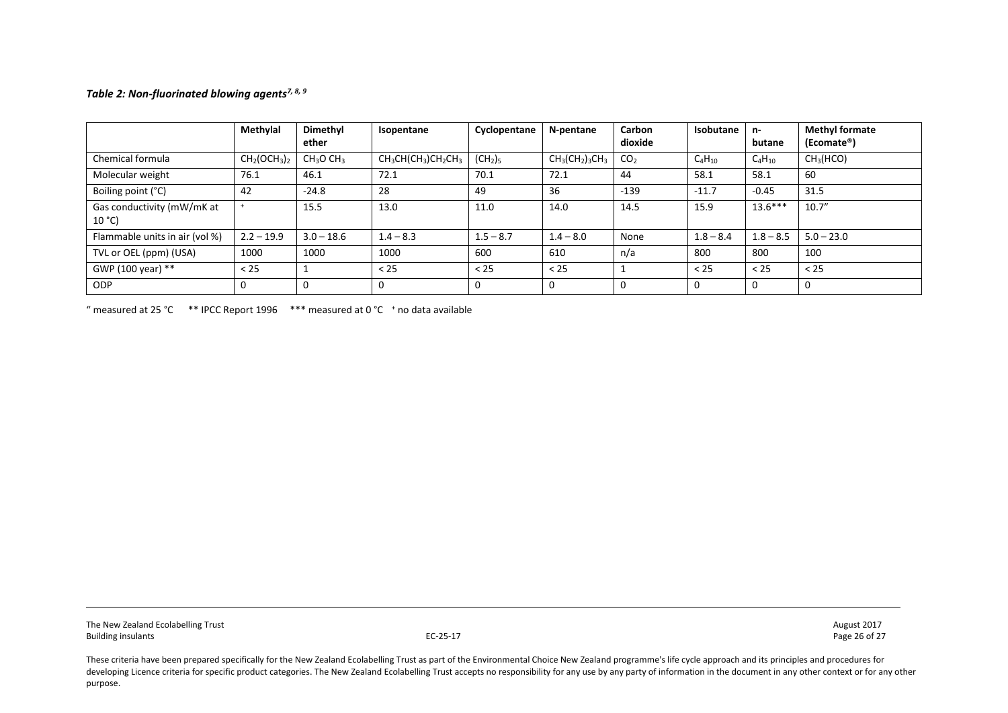#### *Table 2: Non-fluorinated blowing agents[7,](#page-24-0) [8,](#page-24-1) [9](#page-24-2)*

|                                     | Methylal     | Dimethyl<br>ether                 | Isopentane         | Cyclopentane                    | N-pentane      | Carbon<br>dioxide | Isobutane   | n-<br>butane | <b>Methyl formate</b><br>(Ecomate®) |
|-------------------------------------|--------------|-----------------------------------|--------------------|---------------------------------|----------------|-------------------|-------------|--------------|-------------------------------------|
| Chemical formula                    | $CH2(OCH3)2$ | CH <sub>3</sub> O CH <sub>3</sub> | $CH3CH(CH3)CH2CH3$ | (CH <sub>2</sub> ) <sub>5</sub> | $CH3(CH2)3CH3$ | CO <sub>2</sub>   | $C_4H_{10}$ | $C_4H_{10}$  | CH <sub>3</sub> (HCO)               |
| Molecular weight                    | 76.1         | 46.1                              | 72.1               | 70.1                            | 72.1           | 44                | 58.1        | 58.1         | 60                                  |
| Boiling point (°C)                  | 42           | $-24.8$                           | 28                 | 49                              | 36             | $-139$            | $-11.7$     | $-0.45$      | 31.5                                |
| Gas conductivity (mW/mK at<br>10 °C |              | 15.5                              | 13.0               | 11.0                            | 14.0           | 14.5              | 15.9        | $13.6***$    | 10.7''                              |
| Flammable units in air (vol %)      | $2.2 - 19.9$ | $3.0 - 18.6$                      | $1.4 - 8.3$        | $1.5 - 8.7$                     | $1.4 - 8.0$    | None              | $1.8 - 8.4$ | $1.8 - 8.5$  | $5.0 - 23.0$                        |
| TVL or OEL (ppm) (USA)              | 1000         | 1000                              | 1000               | 600                             | 610            | n/a               | 800         | 800          | 100                                 |
| GWP (100 year) **                   | < 25         |                                   | < 25               | < 25                            | < 25           |                   | < 25        | < 25         | < 25                                |
| <b>ODP</b>                          | 0            |                                   | 0                  |                                 | 0              |                   | $\Omega$    | $\Omega$     |                                     |

" measured at 25 °C  $*$  \* IPCC Report 1996  $*$  \*\* measured at 0 °C  $*$  no data available

The New Zealand Ecolabelling Trust 2017<br>Building insulants and the Superversion of the Superversion of the Superversion of the Superversion of the New Zealand Ecolabelling Trust 2017 Building insulants **EC-25-17** Page 26 of 27 Page 26 of 27